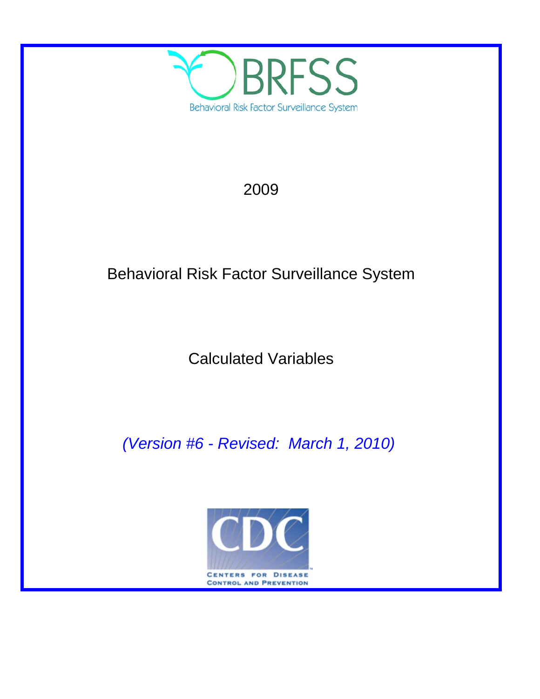

# 2009

# Behavioral Risk Factor Surveillance System

Calculated Variables

*(Version #6 - Revised: March 1, 2010)*

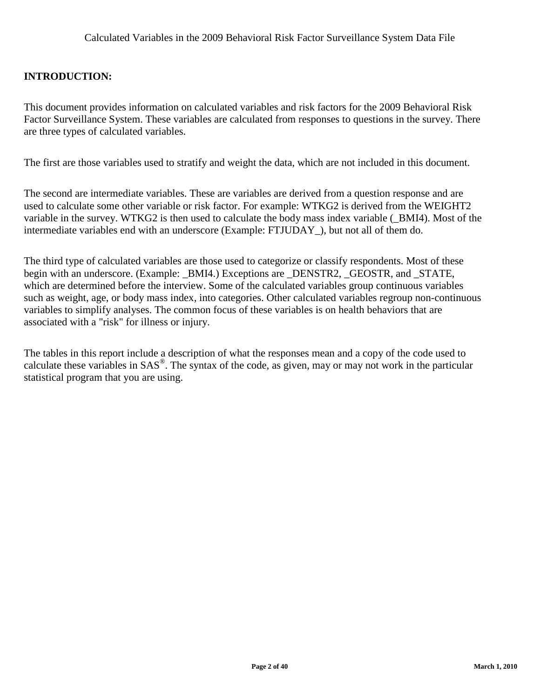# **INTRODUCTION:**

This document provides information on calculated variables and risk factors for the 2009 Behavioral Risk Factor Surveillance System. These variables are calculated from responses to questions in the survey. There are three types of calculated variables.

The first are those variables used to stratify and weight the data, which are not included in this document.

The second are intermediate variables. These are variables are derived from a question response and are used to calculate some other variable or risk factor. For example: WTKG2 is derived from the WEIGHT2 variable in the survey. WTKG2 is then used to calculate the body mass index variable (\_BMI4). Most of the intermediate variables end with an underscore (Example: FTJUDAY\_), but not all of them do.

The third type of calculated variables are those used to categorize or classify respondents. Most of these begin with an underscore. (Example: BMI4.) Exceptions are DENSTR2, GEOSTR, and STATE, which are determined before the interview. Some of the calculated variables group continuous variables such as weight, age, or body mass index, into categories. Other calculated variables regroup non-continuous variables to simplify analyses. The common focus of these variables is on health behaviors that are associated with a "risk" for illness or injury.

The tables in this report include a description of what the responses mean and a copy of the code used to calculate these variables in SAS®. The syntax of the code, as given, may or may not work in the particular statistical program that you are using.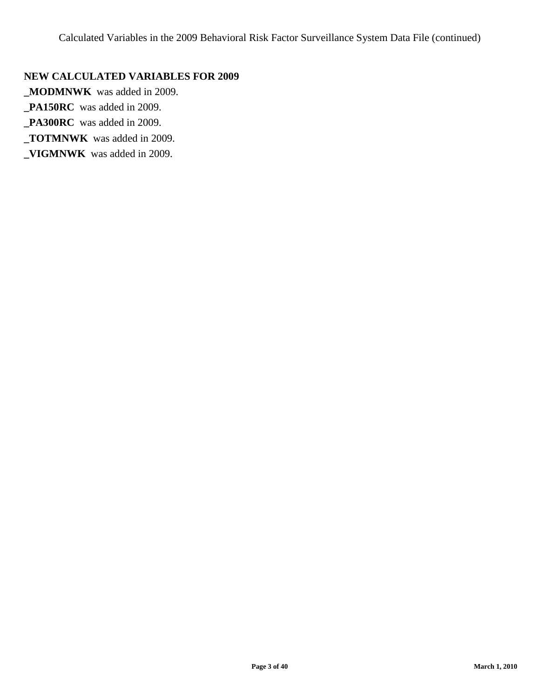# **NEW CALCULATED VARIABLES FOR 2009**

**\_MODMNWK** was added in 2009.

**\_PA150RC** was added in 2009.

**\_PA300RC** was added in 2009.

**\_TOTMNWK** was added in 2009.

**\_VIGMNWK** was added in 2009.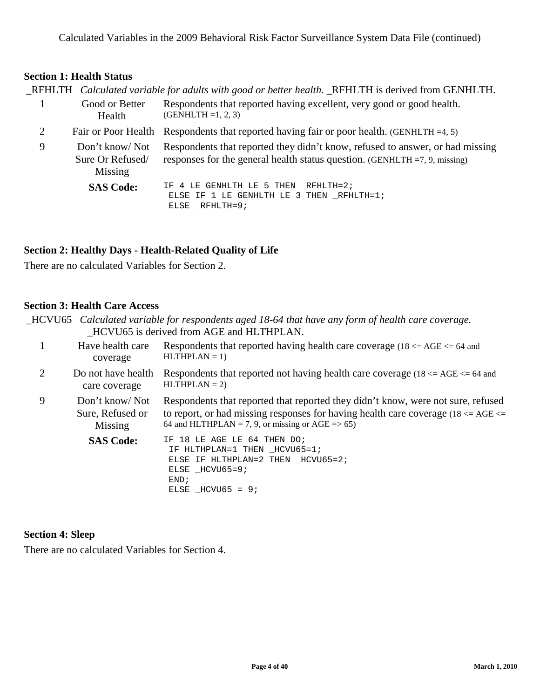# **Section 1: Health Status**

|                |                                               | _RFHLTH Calculated variable for adults with good or better health. _RFHLTH is derived from GENHLTH.                                                            |
|----------------|-----------------------------------------------|----------------------------------------------------------------------------------------------------------------------------------------------------------------|
|                | Good or Better<br>Health                      | Respondents that reported having excellent, very good or good health.<br>$(GENHLTH = 1, 2, 3)$                                                                 |
| $\overline{2}$ | Fair or Poor Health                           | Respondents that reported having fair or poor health. (GENHLTH $=4, 5$ )                                                                                       |
| 9              | Don't know/Not<br>Sure Or Refused/<br>Missing | Respondents that reported they didn't know, refused to answer, or had missing<br>responses for the general health status question. (GENHLTH $=7, 9$ , missing) |
|                | <b>SAS Code:</b>                              | IF 4 LE GENHLTH LE 5 THEN RFHLTH=2;<br>ELSE IF 1 LE GENHLTH LE 3 THEN RFHLTH=1;<br>ELSE _RFHLTH=9;                                                             |

# **Section 2: Healthy Days - Health-Related Quality of Life**

There are no calculated Variables for Section 2.

#### **Section 3: Health Care Access**

|   | _HCVU65 Calculated variable for respondents aged 18-64 that have any form of health care coverage.<br>HCVU65 is derived from AGE and HLTHPLAN. |                                                                                                                                                                                                                                    |  |
|---|------------------------------------------------------------------------------------------------------------------------------------------------|------------------------------------------------------------------------------------------------------------------------------------------------------------------------------------------------------------------------------------|--|
| 1 | Have health care<br>coverage                                                                                                                   | Respondents that reported having health care coverage (18 $\leq$ AGE $\leq$ 64 and<br>$HLTHPLAN = 1$                                                                                                                               |  |
| 2 | Do not have health<br>care coverage                                                                                                            | Respondents that reported not having health care coverage (18 $\leq$ AGE $\leq$ 64 and<br>$HLTHPLAN = 2$                                                                                                                           |  |
| 9 | Don't know/Not<br>Sure, Refused or<br>Missing                                                                                                  | Respondents that reported that reported they didn't know, were not sure, refused<br>to report, or had missing responses for having health care coverage (18 $\leq$ AGE $\leq$<br>64 and HLTHPLAN = 7, 9, or missing or AGE = > 65) |  |
|   | <b>SAS Code:</b>                                                                                                                               | IF 18 LE AGE LE 64 THEN DO;<br>IF HLTHPLAN=1 THEN _HCVU65=1;<br>ELSE IF HLTHPLAN=2 THEN _HCVU65=2;<br>ELSE HCVU65=9;<br>END;<br>ELSE $HCVU65 = 9$                                                                                  |  |

#### **Section 4: Sleep**

There are no calculated Variables for Section 4.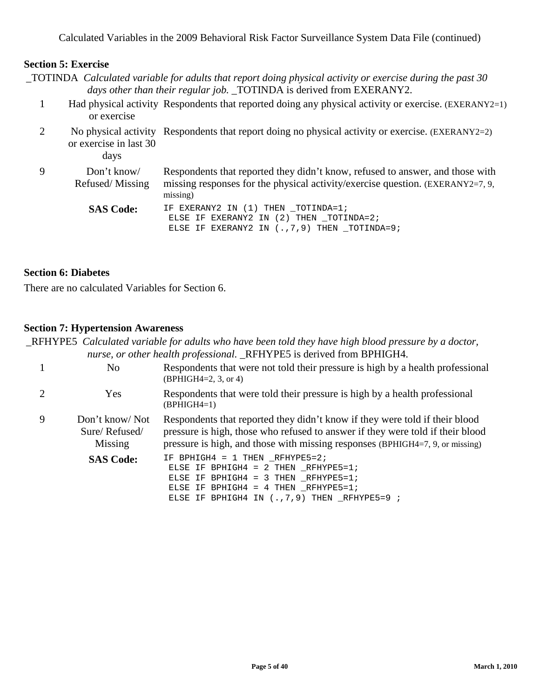#### **Section 5: Exercise**

| $\Box$ TOTINDA Calculated variable for adults that report doing physical activity or exercise during the past 30 |
|------------------------------------------------------------------------------------------------------------------|
| days other than their regular job. _TOTINDA is derived from EXERANY2.                                            |

- 1 Had physical activity Respondents that reported doing any physical activity or exercise. (EXERANY2=1) or exercise
- 2 No physical activity Respondents that report doing no physical activity or exercise. (EXERANY2=2) or exercise in last 30

days

9 Don't know/ Refused/ Missing Respondents that reported they didn't know, refused to answer, and those with missing responses for the physical activity/exercise question. (EXERANY2=7, 9, missing) SAS Code: IF EXERANY2 IN (1) THEN \_TOTINDA=1; ELSE IF EXERANY2 IN (2) THEN \_TOTINDA=2;

ELSE IF EXERANY2 IN (., 7, 9) THEN \_TOTINDA=9;

#### **Section 6: Diabetes**

There are no calculated Variables for Section 6.

#### **Section 7: Hypertension Awareness**

\_RFHYPE5 *Calculated variable for adults who have been told they have high blood pressure by a doctor, nurse, or other health professional.* \_RFHYPE5 is derived from BPHIGH4.

|   | No                                         | Respondents that were not told their pressure is high by a health professional<br>$(BPHIGH4=2, 3, or 4)$                                                                                                                                       |  |
|---|--------------------------------------------|------------------------------------------------------------------------------------------------------------------------------------------------------------------------------------------------------------------------------------------------|--|
|   | Yes                                        | Respondents that were told their pressure is high by a health professional<br>$(BPHIGH4=1)$                                                                                                                                                    |  |
| 9 | Don't know/Not<br>Sure/Refused/<br>Missing | Respondents that reported they didn't know if they were told if their blood<br>pressure is high, those who refused to answer if they were told if their blood<br>pressure is high, and those with missing responses (BPHIGH4=7, 9, or missing) |  |
|   | <b>SAS Code:</b>                           | IF BPHIGH4 = 1 THEN RFHYPE5=2;<br>ELSE IF BPHIGH4 = $2$ THEN RFHYPE5=1;<br>ELSE IF BPHIGH4 = 3 THEN RFHYPE5=1;<br>ELSE IF BPHIGH4 = $4$ THEN RFHYPE5=1;<br>ELSE IF BPHIGH4 IN $(.,7,9)$ THEN $_R$ FHYPE5=9;                                    |  |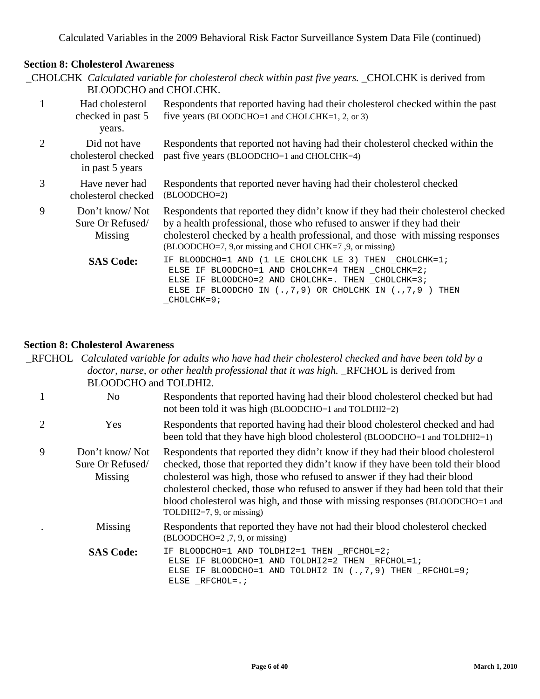# **Section 8: Cholesterol Awareness**

| _CHOLCHK Calculated variable for cholesterol check within past five years. _CHOLCHK is derived from<br>BLOODCHO and CHOLCHK. |                                                        |                                                                                                                                                                                                                                                                                                          |  |
|------------------------------------------------------------------------------------------------------------------------------|--------------------------------------------------------|----------------------------------------------------------------------------------------------------------------------------------------------------------------------------------------------------------------------------------------------------------------------------------------------------------|--|
| 1                                                                                                                            | Had cholesterol<br>checked in past 5<br>years.         | Respondents that reported having had their cholesterol checked within the past<br>five years (BLOODCHO=1 and CHOLCHK=1, 2, or 3)                                                                                                                                                                         |  |
| $\overline{2}$                                                                                                               | Did not have<br>cholesterol checked<br>in past 5 years | Respondents that reported not having had their cholesterol checked within the<br>past five years (BLOODCHO=1 and CHOLCHK=4)                                                                                                                                                                              |  |
| 3                                                                                                                            | Have never had<br>cholesterol checked                  | Respondents that reported never having had their cholesterol checked<br>(BLOODCHO=2)                                                                                                                                                                                                                     |  |
| 9                                                                                                                            | Don't know/Not<br>Sure Or Refused/<br>Missing          | Respondents that reported they didn't know if they had their cholesterol checked<br>by a health professional, those who refused to answer if they had their<br>cholesterol checked by a health professional, and those with missing responses<br>(BLOODCHO=7, 9,or missing and CHOLCHK=7, 9, or missing) |  |
|                                                                                                                              | <b>SAS Code:</b>                                       | IF BLOODCHO=1 AND (1 LE CHOLCHK LE 3) THEN _CHOLCHK=1;<br>ELSE IF BLOODCHO=1 AND CHOLCHK=4 THEN _CHOLCHK=2;<br>ELSE IF BLOODCHO=2 AND CHOLCHK=. THEN _CHOLCHK=3;<br>ELSE IF BLOODCHO IN $(.,7,9)$ OR CHOLCHK IN $(.,7,9)$<br>THEN<br>CHOLCHK=9;                                                          |  |

#### **Section 8: Cholesterol Awareness**

\_RFCHOL *Calculated variable for adults who have had their cholesterol checked and have been told by a doctor, nurse, or other health professional that it was high.* \_RFCHOL is derived from BLOODCHO and TOLDHI2.

|                       | No                                            | Respondents that reported having had their blood cholesterol checked but had<br>not been told it was high (BLOODCHO=1 and TOLDHI2=2)                                                                                                                                                                                                                                                                                                              |
|-----------------------|-----------------------------------------------|---------------------------------------------------------------------------------------------------------------------------------------------------------------------------------------------------------------------------------------------------------------------------------------------------------------------------------------------------------------------------------------------------------------------------------------------------|
| $\mathcal{D}_{\cdot}$ | Yes                                           | Respondents that reported having had their blood cholesterol checked and had<br>been told that they have high blood cholesterol (BLOODCHO=1 and TOLDHI2=1)                                                                                                                                                                                                                                                                                        |
| 9                     | Don't know/Not<br>Sure Or Refused/<br>Missing | Respondents that reported they didn't know if they had their blood cholesterol<br>checked, those that reported they didn't know if they have been told their blood<br>cholesterol was high, those who refused to answer if they had their blood<br>cholesterol checked, those who refused to answer if they had been told that their<br>blood cholesterol was high, and those with missing responses (BLOODCHO=1 and<br>TOLDHI2=7, 9, or missing) |
|                       | Missing                                       | Respondents that reported they have not had their blood cholesterol checked<br>$(BLOODCHO=2, 7, 9, or missing)$                                                                                                                                                                                                                                                                                                                                   |
|                       | <b>SAS Code:</b>                              | BLOODCHO=1 AND TOLDHI2=1 THEN RFCHOL=2;<br>ELSE IF BLOODCHO=1 AND TOLDHI2=2 THEN _RFCHOL=1;<br>ELSE IF BLOODCHO=1 AND TOLDHI2 IN $(., 7, 9)$ THEN $_RFCHOL=9;$<br>ELSE RFCHOL=.;                                                                                                                                                                                                                                                                  |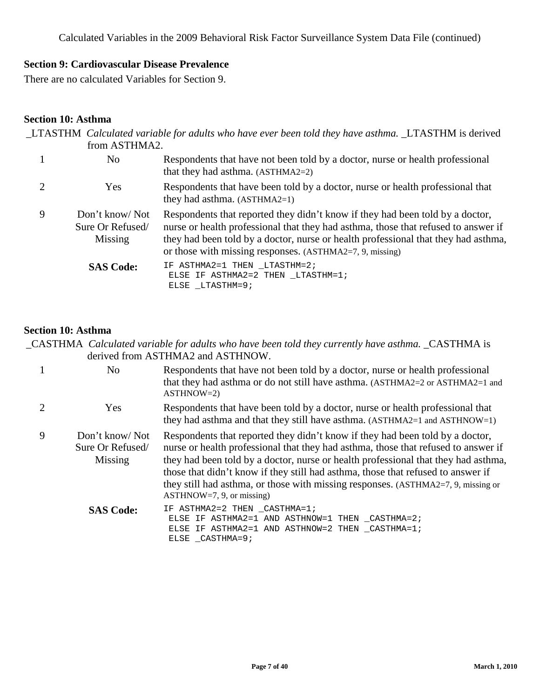# **Section 9: Cardiovascular Disease Prevalence**

There are no calculated Variables for Section 9.

#### **Section 10: Asthma**

|   | from ASTHMA2.                                 | LTASTHM Calculated variable for adults who have ever been told they have asthma. LTASTHM is derived                                                                                                                                                                                                                   |
|---|-----------------------------------------------|-----------------------------------------------------------------------------------------------------------------------------------------------------------------------------------------------------------------------------------------------------------------------------------------------------------------------|
|   | N <sub>0</sub>                                | Respondents that have not been told by a doctor, nurse or health professional<br>that they had asthma. (ASTHMA2=2)                                                                                                                                                                                                    |
| 2 | <b>Yes</b>                                    | Respondents that have been told by a doctor, nurse or health professional that<br>they had asthma. $(ASTHMA2=1)$                                                                                                                                                                                                      |
| 9 | Don't know/Not<br>Sure Or Refused/<br>Missing | Respondents that reported they didn't know if they had been told by a doctor,<br>nurse or health professional that they had asthma, those that refused to answer if<br>they had been told by a doctor, nurse or health professional that they had asthma,<br>or those with missing responses. (ASTHMA2=7, 9, missing) |
|   | <b>SAS Code:</b>                              | IF ASTHMA2=1 THEN LTASTHM=2;<br>ELSE IF ASTHMA2=2 THEN LTASTHM=1;<br>ELSE LTASTHM=9;                                                                                                                                                                                                                                  |

#### **Section 10: Asthma**

\_CASTHMA *Calculated variable for adults who have been told they currently have asthma.* \_CASTHMA is derived from ASTHMA2 and ASTHNOW.

|   | No                                            | Respondents that have not been told by a doctor, nurse or health professional<br>that they had asthma or do not still have asthma. (ASTHMA2=2 or ASTHMA2=1 and<br>$ASTHNOW=2)$                                                                                                                                                                                                                                                                                    |  |
|---|-----------------------------------------------|-------------------------------------------------------------------------------------------------------------------------------------------------------------------------------------------------------------------------------------------------------------------------------------------------------------------------------------------------------------------------------------------------------------------------------------------------------------------|--|
|   | Yes                                           | Respondents that have been told by a doctor, nurse or health professional that<br>they had asthma and that they still have asthma. (ASTHMA2=1 and ASTHNOW=1)                                                                                                                                                                                                                                                                                                      |  |
| 9 | Don't know/Not<br>Sure Or Refused/<br>Missing | Respondents that reported they didn't know if they had been told by a doctor,<br>nurse or health professional that they had asthma, those that refused to answer if<br>they had been told by a doctor, nurse or health professional that they had asthma,<br>those that didn't know if they still had asthma, those that refused to answer if<br>they still had asthma, or those with missing responses. (ASTHMA2=7, 9, missing or<br>ASTHNOWLEDS, 9, or missing) |  |
|   | <b>SAS Code:</b>                              | IF ASTHMA2=2 THEN _CASTHMA=1;<br>ELSE IF ASTHMA2=1 AND ASTHNOW=1 THEN CASTHMA=2;<br>ELSE IF ASTHMA2=1 AND ASTHNOW=2 THEN CASTHMA=1;<br>ELSE CASTHMA=9;                                                                                                                                                                                                                                                                                                            |  |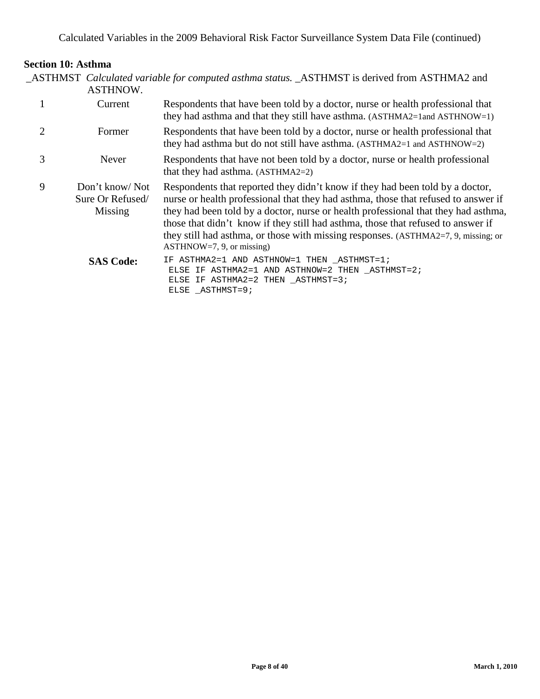# **Section 10: Asthma**

| _ASTHMST Calculated variable for computed asthma status. _ASTHMST is derived from ASTHMA2 and |  |
|-----------------------------------------------------------------------------------------------|--|
| ASTHNOW.                                                                                      |  |

|   | Current                                       | Respondents that have been told by a doctor, nurse or health professional that<br>they had asthma and that they still have asthma. (ASTHMA2=1and ASTHNOW=1)                                                                                                                                                                                                                                                                                                        |
|---|-----------------------------------------------|--------------------------------------------------------------------------------------------------------------------------------------------------------------------------------------------------------------------------------------------------------------------------------------------------------------------------------------------------------------------------------------------------------------------------------------------------------------------|
|   | Former                                        | Respondents that have been told by a doctor, nurse or health professional that<br>they had asthma but do not still have asthma. (ASTHMA2=1 and ASTHNOW=2)                                                                                                                                                                                                                                                                                                          |
| 3 | Never                                         | Respondents that have not been told by a doctor, nurse or health professional<br>that they had asthma. (ASTHMA2=2)                                                                                                                                                                                                                                                                                                                                                 |
| 9 | Don't know/Not<br>Sure Or Refused/<br>Missing | Respondents that reported they didn't know if they had been told by a doctor,<br>nurse or health professional that they had asthma, those that refused to answer if<br>they had been told by a doctor, nurse or health professional that they had asthma,<br>those that didn't know if they still had asthma, those that refused to answer if<br>they still had asthma, or those with missing responses. (ASTHMA2=7, 9, missing; or<br>$ASTHNOW=7, 9, or missing)$ |
|   | <b>SAS Code:</b>                              | IF ASTHMA2=1 AND ASTHNOW=1 THEN ASTHMST=1;<br>ELSE IF ASTHMA2=1 AND ASTHNOW=2 THEN ASTHMST=2;<br>ELSE IF ASTHMA2=2 THEN ASTHMST=3;<br>ELSE ASTHMST=9;                                                                                                                                                                                                                                                                                                              |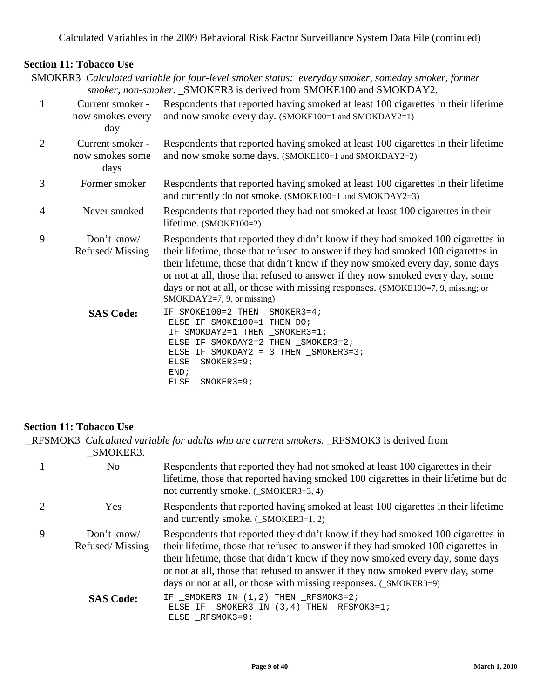# **Section 11: Tobacco Use**

\_SMOKER3 *Calculated variable for four-level smoker status: everyday smoker, someday smoker, former smoker, non-smoker.* \_SMOKER3 is derived from SMOKE100 and SMOKDAY2. 1 Current smoker now smokes every Respondents that reported having smoked at least 100 cigarettes in their lifetime and now smoke every day. (SMOKE100=1 and SMOKDAY2=1)

- day 2 Current smoker now smokes some days Respondents that reported having smoked at least 100 cigarettes in their lifetime and now smoke some days. (SMOKE100=1 and SMOKDAY2=2) 3 Former smoker Respondents that reported having smoked at least 100 cigarettes in their lifetime and currently do not smoke. (SMOKE100=1 and SMOKDAY2=3) 4 Never smoked Respondents that reported they had not smoked at least 100 cigarettes in their lifetime. (SMOKE100=2) 9 Don't know/ Refused/ Missing Respondents that reported they didn't know if they had smoked 100 cigarettes in their lifetime, those that refused to answer if they had smoked 100 cigarettes in their lifetime, those that didn't know if they now smoked every day, some days or not at all, those that refused to answer if they now smoked every day, some days or not at all, or those with missing responses. (SMOKE100=7, 9, missing; or SMOKDAY2=7, 9, or missing) SAS Code: IF SMOKE100=2 THEN \_SMOKER3=4; ELSE IF SMOKE100=1 THEN DO; IF SMOKDAY2=1 THEN \_SMOKER3=1; ELSE IF SMOKDAY2=2 THEN SMOKER3=2; ELSE IF SMOKDAY2 = 3 THEN SMOKER3=3;
	- ELSE SMOKER3=9; END; ELSE SMOKER3=9;

# **Section 11: Tobacco Use**

\_RFSMOK3 *Calculated variable for adults who are current smokers.* \_RFSMOK3 is derived from \_SMOKER3.

|   | N <sub>o</sub>                 | Respondents that reported they had not smoked at least 100 cigarettes in their<br>lifetime, those that reported having smoked 100 cigarettes in their lifetime but do<br>not currently smoke. (_SMOKER3=3, 4)                                                                                                                                                                                                 |
|---|--------------------------------|---------------------------------------------------------------------------------------------------------------------------------------------------------------------------------------------------------------------------------------------------------------------------------------------------------------------------------------------------------------------------------------------------------------|
|   | Yes                            | Respondents that reported having smoked at least 100 cigarettes in their lifetime<br>and currently smoke. (_SMOKER3=1, 2)                                                                                                                                                                                                                                                                                     |
| 9 | Don't know/<br>Refused/Missing | Respondents that reported they didn't know if they had smoked 100 cigarettes in<br>their lifetime, those that refused to answer if they had smoked 100 cigarettes in<br>their lifetime, those that didn't know if they now smoked every day, some days<br>or not at all, those that refused to answer if they now smoked every day, some<br>days or not at all, or those with missing responses. (_SMOKER3=9) |
|   | <b>SAS Code:</b>               | IF _SMOKER3 IN (1,2) THEN _RFSMOK3=2;<br>ELSE IF _SMOKER3 IN (3,4) THEN _RFSMOK3=1;<br>ELSE RFSMOK3=9;                                                                                                                                                                                                                                                                                                        |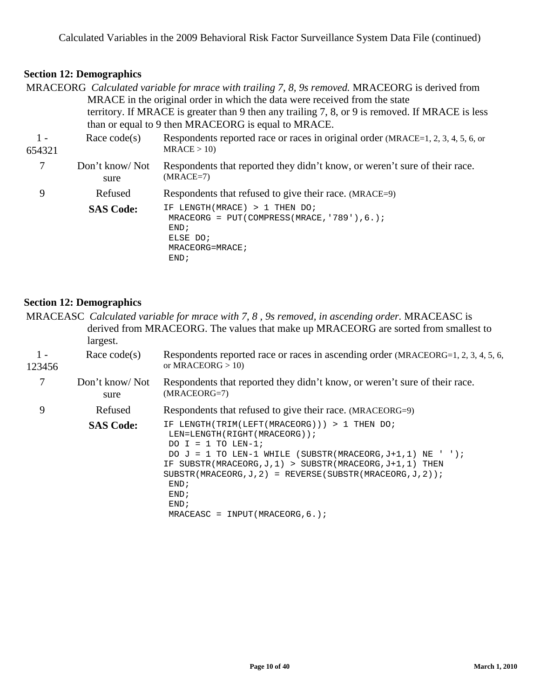|        |                        | MRACEORG Calculated variable for mrace with trailing 7, 8, 9s removed. MRACEORG is derived from<br>MRACE in the original order in which the data were received from the state<br>territory. If MRACE is greater than 9 then any trailing 7, 8, or 9 is removed. If MRACE is less<br>than or equal to 9 then MRACEORG is equal to MRACE. |
|--------|------------------------|-----------------------------------------------------------------------------------------------------------------------------------------------------------------------------------------------------------------------------------------------------------------------------------------------------------------------------------------|
| $1 -$  | Race $code(s)$         | Respondents reported race or races in original order (MRACE=1, 2, 3, 4, 5, 6, or                                                                                                                                                                                                                                                        |
| 654321 |                        | MRACE > 10                                                                                                                                                                                                                                                                                                                              |
| 7      | Don't know/Not<br>sure | Respondents that reported they didn't know, or weren't sure of their race.<br>$(MRACE=7)$                                                                                                                                                                                                                                               |
| 9      | Refused                | Respondents that refused to give their race. (MRACE=9)                                                                                                                                                                                                                                                                                  |
|        | <b>SAS Code:</b>       | IF LENGTH(MRACE) > 1 THEN DO;<br>MRACEORG = $PUT(COMPRESS(MRACE, '789'), 6.);$<br>END;<br>ELSE DO;<br>MRACEORG=MRACE;<br>END;                                                                                                                                                                                                           |

#### **Section 12: Demographics**

MRACEASC *Calculated variable for mrace with 7, 8 , 9s removed, in ascending order.* MRACEASC is derived from MRACEORG. The values that make up MRACEORG are sorted from smallest to largest.  $1 -$ 123456 Race code(s) Respondents reported race or races in ascending order (MRACEORG=1, 2, 3, 4, 5, 6, or MRACEORG  $> 10$ ) 7 Don't know/ Not sure Respondents that reported they didn't know, or weren't sure of their race. (MRACEORG=7) 9 Refused Respondents that refused to give their race. (MRACEORG=9) **SAS Code:** IF LENGTH(TRIM(LEFT(MRACEORG))) > 1 THEN DO;

| <b>SAS Code:</b> | IF LENGIH(IRIM(LEFI(MRACEORG))) > I IHEN DO;                    |
|------------------|-----------------------------------------------------------------|
|                  | LEN=LENGTH(RIGHT(MRACEORG));                                    |
|                  | DO I = 1 TO LEN-1;                                              |
|                  | DO $J = 1$ TO LEN-1 WHILE (SUBSTR(MRACEORG, $J+1$ , 1) NE ' '); |
|                  | IF SUBSTR(MRACEORG, J, 1) > SUBSTR(MRACEORG, J+1, 1) THEN       |
|                  | SUBSTR(MRACEORG, J, 2) = REVERSE(SUBSTR(MRACEORG, J, 2));       |
|                  | END:                                                            |
|                  | END:                                                            |
|                  | END:                                                            |
|                  | MRACEASC = INPUT (MRACEORG. $6.$ );                             |
|                  |                                                                 |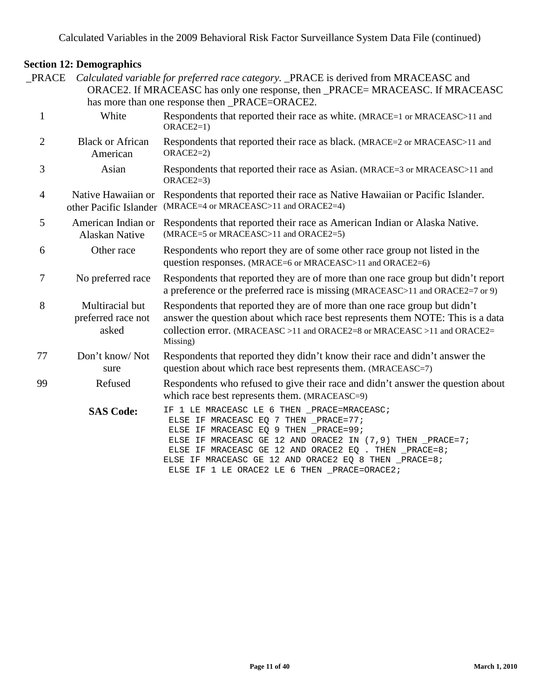\_PRACE *Calculated variable for preferred race category.* \_PRACE is derived from MRACEASC and ORACE2. If MRACEASC has only one response, then PRACE= MRACEASC. If MRACEASC has more than one response then \_PRACE=ORACE2. 1 White Respondents that reported their race as white. (MRACE=1 or MRACEASC>11 and ORACE2=1) 2 Black or African American Respondents that reported their race as black. (MRACE=2 or MRACEASC>11 and ORACE2=2) 3 Asian Respondents that reported their race as Asian. (MRACE=3 or MRACEASC>11 and ORACE2=3) 4 Native Hawaiian or Respondents that reported their race as Native Hawaiian or Pacific Islander. other Pacific Islander (MRACE=4 or MRACEASC>11 and ORACE2=4) 5 American Indian or Respondents that reported their race as American Indian or Alaska Native. Alaskan Native (MRACE=5 or MRACEASC>11 and ORACE2=5) 6 Other race Respondents who report they are of some other race group not listed in the question responses. (MRACE=6 or MRACEASC>11 and ORACE2=6) 7 No preferred race Respondents that reported they are of more than one race group but didn't report a preference or the preferred race is missing (MRACEASC>11 and ORACE2=7 or 9) 8 Multiracial but preferred race not asked Respondents that reported they are of more than one race group but didn't answer the question about which race best represents them NOTE: This is a data collection error. (MRACEASC >11 and ORACE2=8 or MRACEASC >11 and ORACE2= Missing) 77 Don't know/ Not sure Respondents that reported they didn't know their race and didn't answer the question about which race best represents them. (MRACEASC=7) 99 Refused Respondents who refused to give their race and didn't answer the question about which race best represents them. (MRACEASC=9) SAS Code: IF 1 LE MRACEASC LE 6 THEN \_PRACE=MRACEASC; ELSE IF MRACEASC EQ 7 THEN \_PRACE=77; ELSE IF MRACEASC EQ 9 THEN \_PRACE=99; ELSE IF MRACEASC GE 12 AND ORACE2 IN  $(7, 9)$  THEN PRACE=7; ELSE IF MRACEASC GE 12 AND ORACE2 EQ . THEN PRACE=8; ELSE IF MRACEASC GE 12 AND ORACE2 EQ 8 THEN \_PRACE=8; ELSE IF 1 LE ORACE2 LE 6 THEN \_PRACE=ORACE2;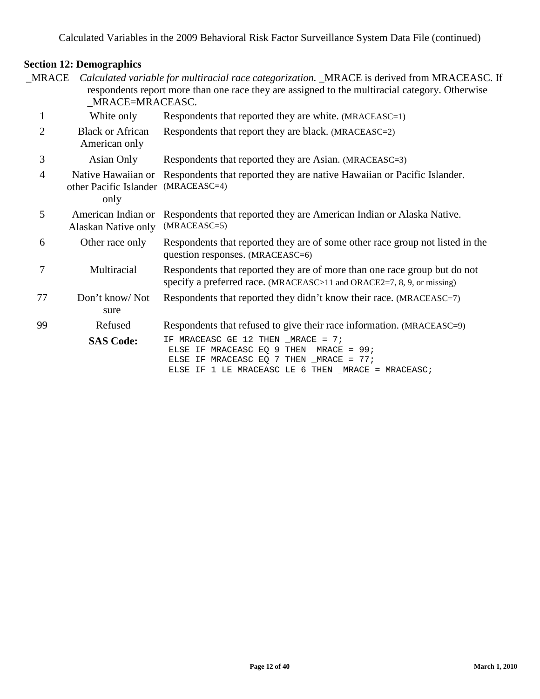| MRACE          | _MRACE=MRACEASC.                                     | Calculated variable for multiracial race categorization. _MRACE is derived from MRACEASC. If<br>respondents report more than one race they are assigned to the multiracial category. Otherwise |
|----------------|------------------------------------------------------|------------------------------------------------------------------------------------------------------------------------------------------------------------------------------------------------|
| $\mathbf{1}$   | White only                                           | Respondents that reported they are white. (MRACEASC=1)                                                                                                                                         |
| $\overline{2}$ | <b>Black or African</b><br>American only             | Respondents that report they are black. (MRACEASC=2)                                                                                                                                           |
| 3              | Asian Only                                           | Respondents that reported they are Asian. (MRACEASC=3)                                                                                                                                         |
| $\overline{4}$ | Native Hawaiian or<br>other Pacific Islander<br>only | Respondents that reported they are native Hawaiian or Pacific Islander.<br>$(MRACEASC=4)$                                                                                                      |
| 5              | American Indian or<br>Alaskan Native only            | Respondents that reported they are American Indian or Alaska Native.<br>$(MRACEASC=5)$                                                                                                         |
| 6              | Other race only                                      | Respondents that reported they are of some other race group not listed in the<br>question responses. (MRACEASC=6)                                                                              |
| 7              | Multiracial                                          | Respondents that reported they are of more than one race group but do not<br>specify a preferred race. (MRACEASC>11 and ORACE2=7, 8, 9, or missing)                                            |
| 77             | Don't know/Not<br>sure                               | Respondents that reported they didn't know their race. (MRACEASC=7)                                                                                                                            |
| 99             | Refused                                              | Respondents that refused to give their race information. (MRACEASC=9)                                                                                                                          |
|                | <b>SAS Code:</b>                                     | IF MRACEASC GE 12 THEN _MRACE = 7;<br>ELSE IF MRACEASC EQ 9 THEN MRACE = 99;<br>ELSE IF MRACEASC EQ 7 THEN _MRACE = 77;<br>ELSE IF 1 LE MRACEASC LE 6 THEN _MRACE = MRACEASC;                  |
|                |                                                      |                                                                                                                                                                                                |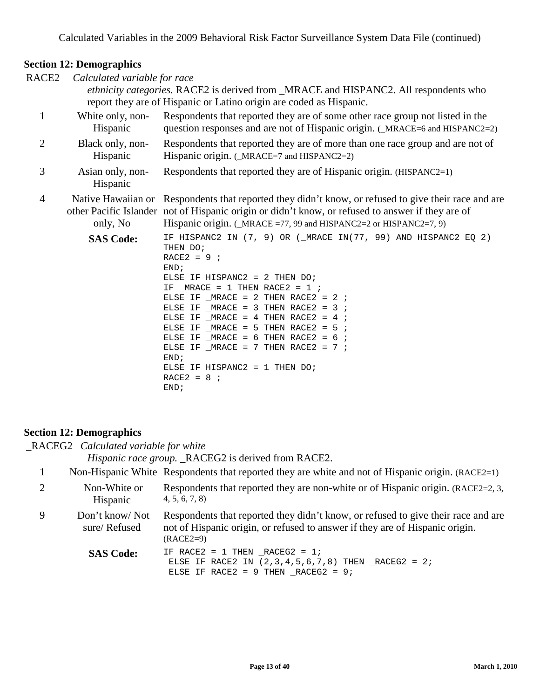| RACE2          | Calculated variable for race | ethnicity categories. RACE2 is derived from _MRACE and HISPANC2. All respondents who<br>report they are of Hispanic or Latino origin are coded as Hispanic.                                                                                                                                                                                                                                                                                                                                          |
|----------------|------------------------------|------------------------------------------------------------------------------------------------------------------------------------------------------------------------------------------------------------------------------------------------------------------------------------------------------------------------------------------------------------------------------------------------------------------------------------------------------------------------------------------------------|
| $\mathbf{1}$   | White only, non-<br>Hispanic | Respondents that reported they are of some other race group not listed in the<br>question responses and are not of Hispanic origin. (_MRACE=6 and HISPANC2=2)                                                                                                                                                                                                                                                                                                                                        |
| $\mathbf{2}$   | Black only, non-<br>Hispanic | Respondents that reported they are of more than one race group and are not of<br>Hispanic origin. (_MRACE=7 and HISPANC2=2)                                                                                                                                                                                                                                                                                                                                                                          |
| 3              | Asian only, non-<br>Hispanic | Respondents that reported they are of Hispanic origin. (HISPANC2=1)                                                                                                                                                                                                                                                                                                                                                                                                                                  |
| $\overline{4}$ | only, No                     | Native Hawaiian or Respondents that reported they didn't know, or refused to give their race and are<br>other Pacific Islander not of Hispanic origin or didn't know, or refused to answer if they are of<br>Hispanic origin. (_MRACE =77, 99 and HISPANC2=2 or HISPANC2=7, 9)                                                                                                                                                                                                                       |
|                | <b>SAS Code:</b>             | IF HISPANC2 IN (7, 9) OR (_MRACE IN(77, 99) AND HISPANC2 EQ 2)<br>THEN DO;<br>$RACE2 = 9$ ;<br>END;<br>ELSE IF HISPANC2 = 2 THEN $DO$ ;<br>IF $_MRACE = 1$ THEN RACE2 = 1;<br>ELSE IF MRACE = 2 THEN RACE2 = 2 $i$<br>ELSE IF _MRACE = 3 THEN RACE2 = 3 $\div$<br>ELSE IF $MRACE = 4$ THEN RACE2 = 4 ;<br>ELSE IF MRACE = 5 THEN RACE2 = $5$ ;<br>ELSE IF MRACE = $6$ THEN RACE2 = $6$ ;<br>ELSE IF MRACE = $7$ THEN RACE2 = $7$ ;<br>END;<br>ELSE IF HISPANC2 = $1$ THEN DO;<br>$RACE2 = 8$<br>END: |

#### **Section 12: Demographics**

\_RACEG2 *Calculated variable for white*

*Hispanic race group.* \_RACEG2 is derived from RACE2.

# 1 Non-Hispanic White Respondents that reported they are white and not of Hispanic origin. (RACE2=1)

|   | Non-White or<br>Hispanic       | Respondents that reported they are non-white or of Hispanic origin. (RACE2=2, 3,<br>4, 5, 6, 7, 8                                                                                |
|---|--------------------------------|----------------------------------------------------------------------------------------------------------------------------------------------------------------------------------|
| 9 | Don't know/Not<br>sure/Refused | Respondents that reported they didn't know, or refused to give their race and are<br>not of Hispanic origin, or refused to answer if they are of Hispanic origin.<br>$(RACE2=9)$ |

SAS Code: IF RACE2 = 1 THEN \_RACEG2 = 1; ELSE IF RACE2 IN  $(2,3,4,5,6,7,8)$  THEN  $\_RACEG2 = 2i$ ELSE IF RACE2 =  $9$  THEN  $_R$ ACEG2 =  $9$ ;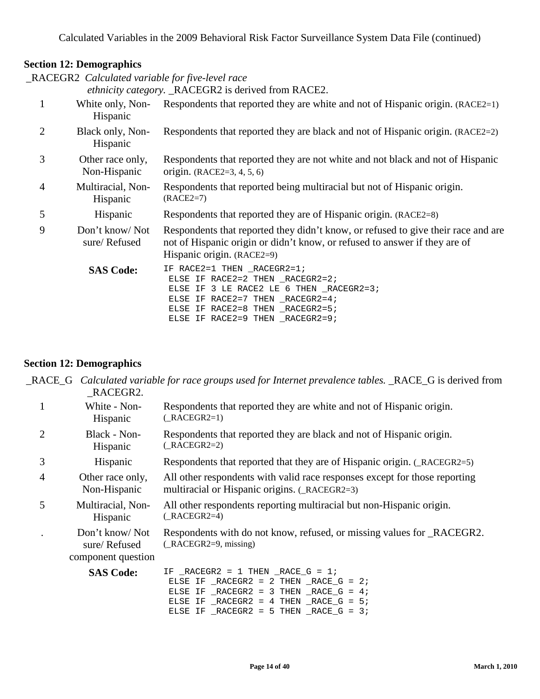\_RACEGR2 *Calculated variable for five-level race*

*ethnicity category.* \_RACEGR2 is derived from RACE2.

|                                  | $\alpha$ and $\alpha$ and $\beta$ and $\beta$ and $\alpha$ and $\alpha$ and $\alpha$ and $\beta$ and $\beta$ and $\beta$ and $\beta$ and $\beta$ and $\beta$ and $\beta$ and $\beta$ and $\beta$ and $\beta$ and $\beta$ and $\beta$ and $\beta$ and $\beta$ and $\beta$ and $\beta$ and $\beta$ and $\beta$ |
|----------------------------------|--------------------------------------------------------------------------------------------------------------------------------------------------------------------------------------------------------------------------------------------------------------------------------------------------------------|
| White only, Non-<br>Hispanic     | Respondents that reported they are white and not of Hispanic origin. (RACE2=1)                                                                                                                                                                                                                               |
| Black only, Non-<br>Hispanic     | Respondents that reported they are black and not of Hispanic origin. (RACE2=2)                                                                                                                                                                                                                               |
| Other race only,<br>Non-Hispanic | Respondents that reported they are not white and not black and not of Hispanic<br>origin. $(RACE2=3, 4, 5, 6)$                                                                                                                                                                                               |
| Multiracial, Non-<br>Hispanic    | Respondents that reported being multiracial but not of Hispanic origin.<br>$(RACE2=7)$                                                                                                                                                                                                                       |
| Hispanic                         | Respondents that reported they are of Hispanic origin. (RACE2=8)                                                                                                                                                                                                                                             |
| Don't know/Not<br>sure/Refused   | Respondents that reported they didn't know, or refused to give their race and are<br>not of Hispanic origin or didn't know, or refused to answer if they are of<br>Hispanic origin. (RACE2=9)                                                                                                                |
| <b>SAS Code:</b>                 | IF RACE2=1 THEN _RACEGR2=1;<br>ELSE IF RACE2=2 THEN _RACEGR2=2;<br>ELSE IF 3 LE RACE2 LE 6 THEN _RACEGR2=3;<br>ELSE IF RACE2=7 THEN RACEGR2=4;<br>ELSE IF RACE2=8 THEN RACEGR2=5;<br>ELSE IF RACE2=9 THEN RACEGR2=9;                                                                                         |
|                                  |                                                                                                                                                                                                                                                                                                              |

# **Section 12: Demographics**

|                | RACEGR2.                                             | _RACE_G Calculated variable for race groups used for Internet prevalence tables. _RACE_G is derived from                    |
|----------------|------------------------------------------------------|-----------------------------------------------------------------------------------------------------------------------------|
| 1              | White - Non-<br>Hispanic                             | Respondents that reported they are white and not of Hispanic origin.<br>$(\text{RACEGR2=1})$                                |
| $\overline{2}$ | Black - Non-<br>Hispanic                             | Respondents that reported they are black and not of Hispanic origin.<br>$( RACEGR2=2)$                                      |
| 3              | Hispanic                                             | Respondents that reported that they are of Hispanic origin. (_RACEGR2=5)                                                    |
| 4              | Other race only,<br>Non-Hispanic                     | All other respondents with valid race responses except for those reporting<br>multiracial or Hispanic origins. (_RACEGR2=3) |
| 5              | Multiracial, Non-<br>Hispanic                        | All other respondents reporting multiracial but non-Hispanic origin.<br>$(RACEGR2=4)$                                       |
|                | Don't know/Not<br>sure/Refused<br>component question | Respondents with do not know, refused, or missing values for _RACEGR2.<br>$(\text{RACEGR2=9}, \text{missing})$              |
|                | <b>SAS Code:</b>                                     | IF $_RACEGR2 = 1$ THEN $_RACE_G = 1$ ;<br>ELSE IF $_RACEGR2 = 2$ THEN $_RACE_G = 2$ ;                                       |

ELSE IF  $\_RACES2 = 3$  THEN  $\_RACE_G = 4$ ; ELSE IF  $\_RACES2 = 4$  THEN  $\_RACE_G = 5$ ; ELSE IF  $\_RACES2 = 5$  THEN  $\_RACE_G = 3$ ;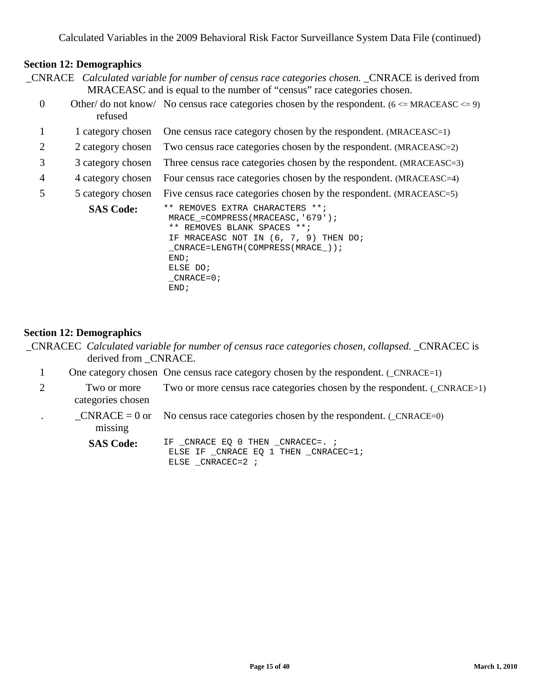| _CNRACE Calculated variable for number of census race categories chosen. _CNRACE is derived from |
|--------------------------------------------------------------------------------------------------|
| MRACEASC and is equal to the number of "census" race categories chosen.                          |

- Other/ do not know/ No census race categories chosen by the respondent.  $(6 \leq MRACEASC \leq 9)$ refused
- 1 1 category chosen One census race category chosen by the respondent. (MRACEASC=1)
- 2 2 category chosen Two census race categories chosen by the respondent. (MRACEASC=2)
- 3 3 category chosen Three census race categories chosen by the respondent. (MRACEASC=3)
- 4 4 category chosen Four census race categories chosen by the respondent. (MRACEASC=4)
- 5 5 category chosen Five census race categories chosen by the respondent. (MRACEASC=5)

```
SAS Code: ** REMOVES EXTRA CHARACTERS **;
   MRACE_=COMPRESS(MRACEASC,'679'); 
   ** REMOVES BLANK SPACES **; 
   IF MRACEASC NOT IN (6, 7, 9) THEN DO; 
   _CNRACE=LENGTH(COMPRESS(MRACE_));
   END; 
   ELSE DO; 
   CNRACE=0;END;
```
#### **Section 12: Demographics**

- \_CNRACEC *Calculated variable for number of census race categories chosen, collapsed.* \_CNRACEC is derived from CNRACE.
	- 1 One category chosen One census race category chosen by the respondent. ( $_CNRACE=1$ )
	- 2 Two or more categories chosen Two or more census race categories chosen by the respondent. (\_CNRACE>1)
	- .  $CNRACE = 0$  or missing No census race categories chosen by the respondent. (\_CNRACE=0)
		- SAS Code: IF \_CNRACE EQ 0 THEN \_CNRACEC=. ; ELSE IF \_CNRACE EQ 1 THEN \_CNRACEC=1; ELSE \_CNRACEC=2 ;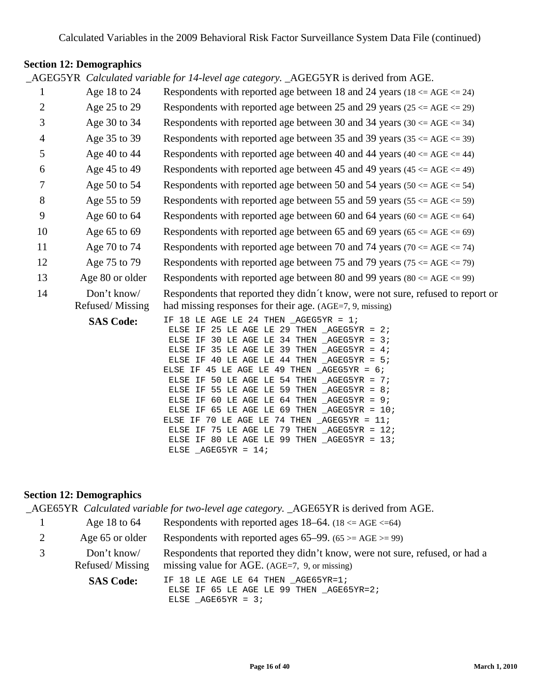\_AGEG5YR *Calculated variable for 14-level age category.* \_AGEG5YR is derived from AGE.

| $\mathbf{1}$   | Age 18 to 24     | Respondents with reported age between 18 and 24 years ( $18 \le AGE \le 24$ )                                                                                                                                                                                                                                                                                                                                                                                                                                                                                                                                                                                                                   |
|----------------|------------------|-------------------------------------------------------------------------------------------------------------------------------------------------------------------------------------------------------------------------------------------------------------------------------------------------------------------------------------------------------------------------------------------------------------------------------------------------------------------------------------------------------------------------------------------------------------------------------------------------------------------------------------------------------------------------------------------------|
| $\overline{2}$ | Age 25 to 29     | Respondents with reported age between 25 and 29 years ( $25 \le AGE \le 29$ )                                                                                                                                                                                                                                                                                                                                                                                                                                                                                                                                                                                                                   |
| 3              | Age 30 to 34     | Respondents with reported age between 30 and 34 years (30 $\leq$ AGE $\leq$ 34)                                                                                                                                                                                                                                                                                                                                                                                                                                                                                                                                                                                                                 |
| 4              | Age 35 to 39     | Respondents with reported age between 35 and 39 years ( $35 \leq AGE \leq 39$ )                                                                                                                                                                                                                                                                                                                                                                                                                                                                                                                                                                                                                 |
| 5              | Age 40 to 44     | Respondents with reported age between 40 and 44 years (40 $\leq$ AGE $\leq$ 44)                                                                                                                                                                                                                                                                                                                                                                                                                                                                                                                                                                                                                 |
| 6              | Age 45 to 49     | Respondents with reported age between 45 and 49 years (45 $\lt$ = AGE $\lt$ = 49)                                                                                                                                                                                                                                                                                                                                                                                                                                                                                                                                                                                                               |
| 7              | Age 50 to 54     | Respondents with reported age between 50 and 54 years (50 $\leq$ AGE $\leq$ 54)                                                                                                                                                                                                                                                                                                                                                                                                                                                                                                                                                                                                                 |
| $8\,$          | Age 55 to 59     | Respondents with reported age between 55 and 59 years ( $55 \le AGE \le 59$ )                                                                                                                                                                                                                                                                                                                                                                                                                                                                                                                                                                                                                   |
| 9              | Age $60$ to $64$ | Respondents with reported age between 60 and 64 years (60 $\leq$ AGE $\leq$ 64)                                                                                                                                                                                                                                                                                                                                                                                                                                                                                                                                                                                                                 |
| 10             | Age 65 to 69     | Respondents with reported age between 65 and 69 years (65 $\leq$ AGE $\leq$ 69)                                                                                                                                                                                                                                                                                                                                                                                                                                                                                                                                                                                                                 |
| 11             | Age 70 to 74     | Respondents with reported age between 70 and 74 years (70 $\leq$ AGE $\leq$ 74)                                                                                                                                                                                                                                                                                                                                                                                                                                                                                                                                                                                                                 |
|                |                  |                                                                                                                                                                                                                                                                                                                                                                                                                                                                                                                                                                                                                                                                                                 |
| 12             | Age 75 to 79     | Respondents with reported age between 75 and 79 years (75 $\leq$ AGE $\leq$ 79)                                                                                                                                                                                                                                                                                                                                                                                                                                                                                                                                                                                                                 |
| 13             | Age 80 or older  | Respondents with reported age between 80 and 99 years (80 $\leq$ AGE $\leq$ 99)                                                                                                                                                                                                                                                                                                                                                                                                                                                                                                                                                                                                                 |
| 14             | Don't know/      | Respondents that reported they didn't know, were not sure, refused to report or                                                                                                                                                                                                                                                                                                                                                                                                                                                                                                                                                                                                                 |
|                | Refused/Missing  | had missing responses for their age. (AGE=7, 9, missing)                                                                                                                                                                                                                                                                                                                                                                                                                                                                                                                                                                                                                                        |
|                | <b>SAS Code:</b> | IF 18 LE AGE LE 24 THEN $AGEG5YR = 1$ ;<br>ELSE IF 25 LE AGE LE 29 THEN $\_\text{AGEG5YR} = 2i$<br>ELSE IF 30 LE AGE LE 34 THEN $\_\text{AGEG5YR} = 3$ ;<br>ELSE IF 35 LE AGE LE 39 THEN $\_\text{AGEG5YR} = 4$ ;<br>ELSE IF 40 LE AGE LE 44 THEN $AGEG5YR = 5$ ;<br>ELSE IF 45 LE AGE LE 49 THEN $_AGEG5YR = 6$ ;<br>ELSE IF 50 LE AGE LE 54 THEN $\_\text{AGEG5YR} = 7$ ;<br>ELSE IF 55 LE AGE LE 59 THEN $\_\text{AGEG5YR} = 8$ ;<br>ELSE IF 60 LE AGE LE 64 THEN $AGEG5YR = 9$ ;<br>ELSE IF 65 LE AGE LE 69 THEN $_A GEG5YR = 10$ ;<br>ELSE IF 70 LE AGE LE 74 THEN $\_\$ AGEG5YR = 11;<br>ELSE IF 75 LE AGE LE 79 THEN $AGEG5YR = 12$ ;<br>ELSE IF 80 LE AGE LE 99 THEN $_A GEG5YR = 13$ ; |
|                |                  |                                                                                                                                                                                                                                                                                                                                                                                                                                                                                                                                                                                                                                                                                                 |

# **Section 12: Demographics**

\_AGE65YR *Calculated variable for two-level age category.* \_AGE65YR is derived from AGE.

ELSE \_AGEG5YR = 14;

| Age 18 to $64$                 | Respondents with reported ages $18-64$ . ( $18 \leq AGE \leq 64$ )                                                            |
|--------------------------------|-------------------------------------------------------------------------------------------------------------------------------|
| Age 65 or older                | Respondents with reported ages $65-99$ . $(65 \geq ABC \geq 99)$                                                              |
| Don't know/<br>Refused/Missing | Respondents that reported they didn't know, were not sure, refused, or had a<br>missing value for AGE. (AGE=7, 9, or missing) |
| <b>SAS Code:</b>               | IF 18 LE AGE LE 64 THEN AGE65YR=1;<br>ELSE IF 65 LE AGE LE 99 THEN AGE65YR=2;<br>ELSE $AGE65YR = 3;$                          |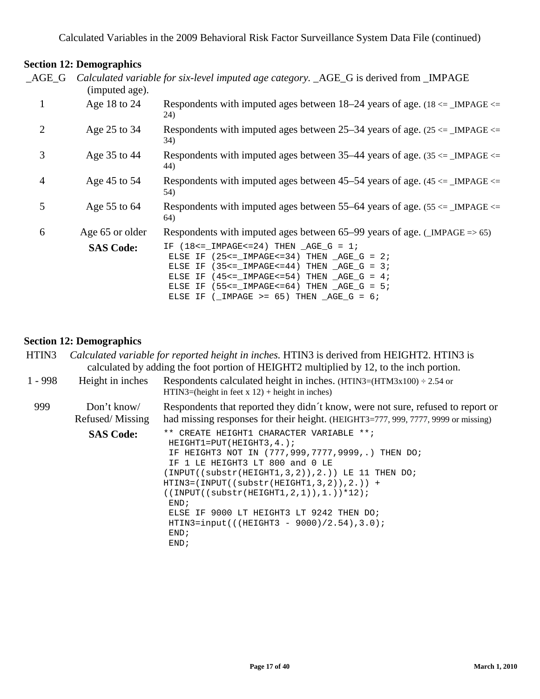| AGE G          |                  | Calculated variable for six-level imputed age category. _AGE_G is derived from _IMPAGE                                                                                                                                                                                                                                                             |
|----------------|------------------|----------------------------------------------------------------------------------------------------------------------------------------------------------------------------------------------------------------------------------------------------------------------------------------------------------------------------------------------------|
|                | (imputed age).   |                                                                                                                                                                                                                                                                                                                                                    |
| $\mathbf{1}$   | Age 18 to 24     | Respondents with imputed ages between 18–24 years of age. $(18 \le \text{IMPAGE})$<br>24)                                                                                                                                                                                                                                                          |
| $\overline{2}$ | Age 25 to 34     | Respondents with imputed ages between 25–34 years of age. $(25 \leq )$ IMPAGE $\leq$<br>34)                                                                                                                                                                                                                                                        |
| 3              | Age 35 to 44     | Respondents with imputed ages between 35–44 years of age. $(35 \leq \text{IMPAGE} \leq \text{MPAGE})$<br>44)                                                                                                                                                                                                                                       |
| $\overline{4}$ | Age 45 to 54     | Respondents with imputed ages between 45–54 years of age. $(45 \leq \text{IMPAGE} \leq$<br>54)                                                                                                                                                                                                                                                     |
| 5              | Age 55 to 64     | Respondents with imputed ages between 55–64 years of age. $(55 \leq )$ IMPAGE $\leq$<br>64)                                                                                                                                                                                                                                                        |
| 6              | Age 65 or older  | Respondents with imputed ages between $65-99$ years of age. (_IMPAGE => 65)                                                                                                                                                                                                                                                                        |
|                | <b>SAS Code:</b> | IF $(18\le -1MPAGE\le -24)$ THEN $AGE_G = 1$ ;<br>ELSE IF $(25<=$ IMPAGE <= 34) THEN $\_\text{AGE\_G} = 2i$<br>ELSE IF $(35<=$ IMPAGE <= 44) THEN $\_\text{AGE_G} = 3$ ;<br>ELSE IF $(45<=$ IMPAGE <= 54) THEN $\_\text{AGE\_G} = 4$ ;<br>ELSE IF $(55<=$ IMPAGE<=64) THEN $\_\text{AGE\_G} = 5$ ;<br>ELSE IF ( $IMPAGE$ >= 65) THEN $AGE_G = 6$ ; |

#### **Section 12: Demographics**

| HTIN <sub>3</sub> | Calculated variable for reported height in inches. HTIN3 is derived from HEIGHT2. HTIN3 is<br>calculated by adding the foot portion of HEIGHT2 multiplied by 12, to the inch portion. |                                                                                                                                                                                                                                                                                                                                                                                                                                                |
|-------------------|---------------------------------------------------------------------------------------------------------------------------------------------------------------------------------------|------------------------------------------------------------------------------------------------------------------------------------------------------------------------------------------------------------------------------------------------------------------------------------------------------------------------------------------------------------------------------------------------------------------------------------------------|
| $1 - 998$         | Height in inches                                                                                                                                                                      | Respondents calculated height in inches. $(HTIN3=(HTM3x100) \div 2.54$ or<br>$HTIN3 = (height in feet x 12) + height in inches)$                                                                                                                                                                                                                                                                                                               |
| 999               | Don't know/<br>Refused/Missing                                                                                                                                                        | Respondents that reported they didn't know, were not sure, refused to report or<br>had missing responses for their height. (HEIGHT3=777, 999, 7777, 9999 or missing)                                                                                                                                                                                                                                                                           |
|                   | <b>SAS Code:</b>                                                                                                                                                                      | ** CREATE HEIGHT1 CHARACTER VARIABLE **;<br>$HEIGHT1=PUT(HEIGHT3, 4.);$<br>IF HEIGHT3 NOT IN (777,999,7777,9999,.) THEN DO;<br>1 LE HEIGHT3 LT 800 and 0 LE<br>$(INPUT((substr(HEIGHT1, 3, 2)), 2.))$ LE 11 THEN DO;<br>$HTIN3 = (INPUT((substr(HEIGHT1, 3, 2)), 2.)) +$<br>$((INPUT((substr(HEIGHT1, 2, 1)), 1.)) * 12);$<br>END;<br>ELSE IF 9000 LT HEIGHT3 LT 9242 THEN DO;<br>$HTIN3=input$ (((HEIGHT3 - 9000)/2.54),3.0);<br>END;<br>END; |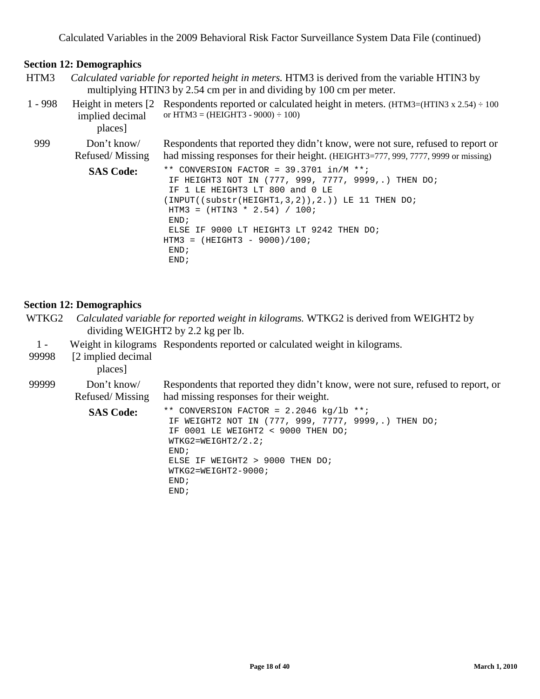#### **Section 12: Demographics**

HTM3 *Calculated variable for reported height in meters.* HTM3 is derived from the variable HTIN3 by multiplying HTIN3 by 2.54 cm per in and dividing by 100 cm per meter.

| $1 - 998$ | implied decimal<br>places]    | Height in meters $\begin{bmatrix} 2 \\ 2 \end{bmatrix}$ Respondents reported or calculated height in meters. (HTM3=(HTIN3 x 2.54) ÷ 100<br>or HTM3 = $(HEIGHT3 - 9000) \div 100$                                                                                                                                                                                               |
|-----------|-------------------------------|--------------------------------------------------------------------------------------------------------------------------------------------------------------------------------------------------------------------------------------------------------------------------------------------------------------------------------------------------------------------------------|
| 999       | Don't know<br>Refused/Missing | Respondents that reported they didn't know, were not sure, refused to report or<br>had missing responses for their height. (HEIGHT3=777, 999, 7777, 9999 or missing)                                                                                                                                                                                                           |
|           | <b>SAS Code:</b>              | ** CONVERSION FACTOR = $39.3701$ in/M **;<br>IF HEIGHT3 NOT IN (777, 999, 7777, 9999,.) THEN DO;<br>IF 1 LE HEIGHT3 LT 800 and 0 LE<br>$\texttt{(INPUT((substr(HEIGHT1,3,2))}, 2.)) \ \ \texttt{LE 11} \ \ \texttt{THEN }\ \ \texttt{D07}$<br>HTM3 = $(HTIN3 * 2.54) / 100$ ;<br>END;<br>IF 9000 LT HEIGHT3 LT 9242 THEN DO;<br>ELSE<br>$HTM3 = (HEIGHT3 - 9000)/100;$<br>END; |

# **Section 12: Demographics**

- WTKG2 *Calculated variable for reported weight in kilograms.* WTKG2 is derived from WEIGHT2 by dividing WEIGHT2 by 2.2 kg per lb.
- 1 Weight in kilograms Respondents reported or calculated weight in kilograms.

END;

99998 [2 implied decimal

places]

| 99999 | Don't know/<br>Refused/Missing | Respondents that reported they didn't know, were not sure, refused to report, or<br>had missing responses for their weight.                                                                                                                            |
|-------|--------------------------------|--------------------------------------------------------------------------------------------------------------------------------------------------------------------------------------------------------------------------------------------------------|
|       | <b>SAS Code:</b>               | ** CONVERSION FACTOR = $2.2046$ kg/lb **;<br>IF WEIGHT2 NOT IN (777, 999, 7777, 9999,.) THEN DO;<br>IF 0001 LE WEIGHT2 < 9000 THEN DO;<br>$WTKG2=WEIGHT2/2.2;$<br>END:<br>ELSE IF WEIGHT2 > 9000 THEN DO;<br>$WTKG2 = WEIGHT2 - 9000;$<br>END;<br>END; |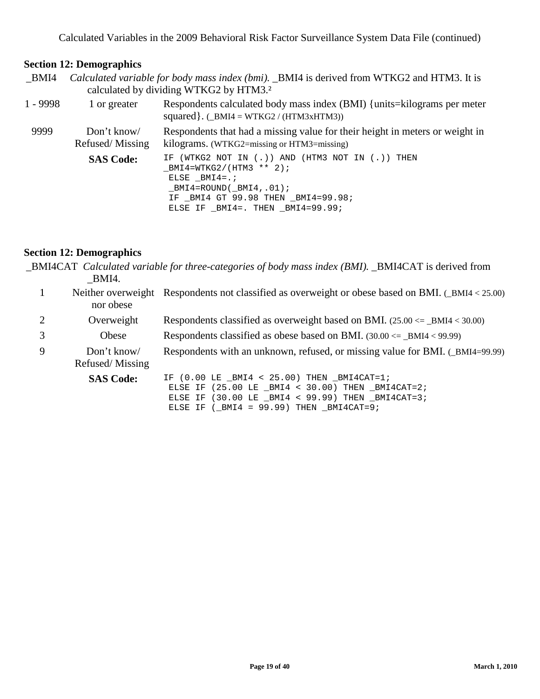#### **Section 12: Demographics**

\_BMI4 *Calculated variable for body mass index (bmi).* \_BMI4 is derived from WTKG2 and HTM3. It is calculated by dividing WTKG2 by HTM3.²

| $1 - 9998$ | 1 or greater                   | Respondents calculated body mass index (BMI) {units=kilograms per meter<br>squared }. $(\_BMI4 = WTKG2 / (HTM3xHTM3))$                                                                                                            |
|------------|--------------------------------|-----------------------------------------------------------------------------------------------------------------------------------------------------------------------------------------------------------------------------------|
| 9999       | Don't know/<br>Refused/Missing | Respondents that had a missing value for their height in meters or weight in<br>kilograms. (WTKG2=missing or HTM3=missing)                                                                                                        |
|            | <b>SAS Code:</b>               | IF (WTKG2 NOT IN $( \, . \, )$ ) AND (HTM3 NOT IN $( \, . \, )$ ) THEN<br>$BMI4=WTKG2/(HTM3 ** 2);$<br>ELSE BMI4= $\ldots$<br>$BMI4 = ROUND( BMI4, .01);$<br>IF BMI4 GT 99.98 THEN BMI4=99.98;<br>ELSE IF BMI4=. THEN BMI4=99.99; |

#### **Section 12: Demographics**

\_BMI4CAT *Calculated variable for three-categories of body mass index (BMI).* \_BMI4CAT is derived from \_BMI4.

|   | nor obese        | Neither overweight Respondents not classified as overweight or obese based on BMI. (_BMI4 < 25.00)                 |
|---|------------------|--------------------------------------------------------------------------------------------------------------------|
|   | Overweight       | Respondents classified as overweight based on BMI. $(25.00 \leq -BMI4 \leq 30.00)$                                 |
|   | Obese            | Respondents classified as obese based on BMI. $(30.00 \leq_{\text{BMI4}} 4 < 99.99)$                               |
| 9 | Don't know/      | Respondents with an unknown, refused, or missing value for BMI. (_BMI4=99.99)                                      |
|   | Refused/Missing  |                                                                                                                    |
|   | <b>SAS Code:</b> | IF $(0.00 \text{ LE } BMI4 < 25.00)$ THEN BMI4CAT=1;<br>ELSE IF $(25.00 \text{ LE } BMI4 < 30.00)$ THEN BMI4CAT=2; |

ELSE IF  $(\_BMI4 = 99.99)$  THEN  $_BMI4CAT=9$ ;

ELSE IF (30.00 LE \_BMI4 < 99.99) THEN \_BMI4CAT=3;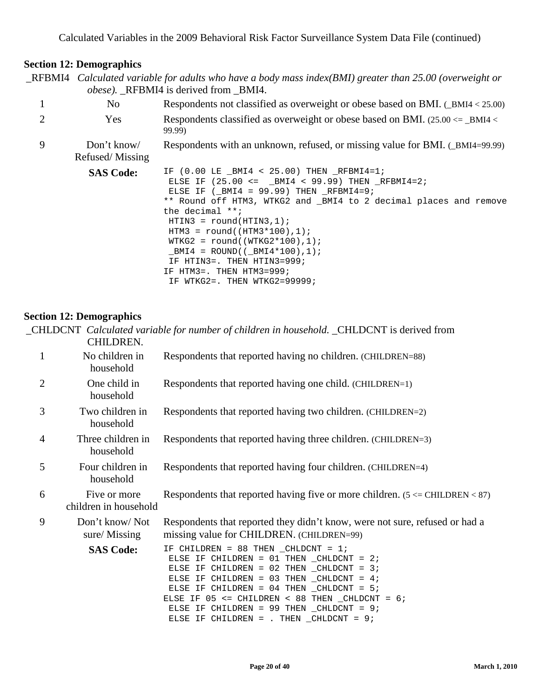| $\_$ RFBMI4 Calculated variable for adults who have a body mass index(BMI) greater than 25.00 (overweight or |
|--------------------------------------------------------------------------------------------------------------|
| <i>obese</i> ). RFBMI4 is derived from BMI4.                                                                 |

|   | No                             | Respondents not classified as overweight or obese based on BMI. $($ BMI4 < 25.00)                                                                                                                                                                    |
|---|--------------------------------|------------------------------------------------------------------------------------------------------------------------------------------------------------------------------------------------------------------------------------------------------|
|   | <b>Yes</b>                     | Respondents classified as overweight or obese based on BMI. $(25.00 \leq -BMI4 \leq$<br>99.99)                                                                                                                                                       |
| 9 | Don't know/<br>Refused/Missing | Respondents with an unknown, refused, or missing value for BMI. (_BMI4=99.99)                                                                                                                                                                        |
|   | <b>SAS Code:</b>               | IF $(0.00 \text{ LE } BMI4 < 25.00)$ THEN RFBMI4=1;<br>ELSE IF $(25.00 \le x = 100)$ $(25.00 \le x = 100)$ $(25.00 \le x = 100)$ $(25.00 \le x = 100)$ $(25.00 \le x = 100)$ $(25.00 \le x = 100)$<br>ELSE IF $(\text{_M14} = 99.99)$ THEN RFBMI4=9; |

\*\* Round off HTM3, WTKG2 and \_BMI4 to 2 decimal places and remove the decimal \*\*; HTIN3 = round(HTIN3,1);

| $HTM3 = round((HTM3*100), 1);$   |
|----------------------------------|
| $WTKG2 = round((WTKG2*100), 1);$ |
| $BMI4 = ROUND( ( BMI4*100), 1);$ |
| IF HTIN3=, THEN HTIN3=999;       |
| IF HTM3=, THEN HTM3=999;         |
| IF WTKG2=. THEN WTKG2=99999;     |

#### **Section 12: Demographics**

|                | CHILDREN.                             | CHLDCNT Calculated variable for number of children in household. _CHLDCNT is derived from                                                                                                                                                                                                                                                                                                |
|----------------|---------------------------------------|------------------------------------------------------------------------------------------------------------------------------------------------------------------------------------------------------------------------------------------------------------------------------------------------------------------------------------------------------------------------------------------|
| 1              | No children in<br>household           | Respondents that reported having no children. (CHILDREN=88)                                                                                                                                                                                                                                                                                                                              |
| $\overline{2}$ | One child in<br>household             | Respondents that reported having one child. (CHILDREN=1)                                                                                                                                                                                                                                                                                                                                 |
| 3              | Two children in<br>household          | Respondents that reported having two children. (CHILDREN=2)                                                                                                                                                                                                                                                                                                                              |
| $\overline{4}$ | Three children in<br>household        | Respondents that reported having three children. (CHILDREN=3)                                                                                                                                                                                                                                                                                                                            |
| 5              | Four children in<br>household         | Respondents that reported having four children. (CHILDREN=4)                                                                                                                                                                                                                                                                                                                             |
| 6              | Five or more<br>children in household | Respondents that reported having five or more children. $(5 \leq CHILDREN \leq 87)$                                                                                                                                                                                                                                                                                                      |
| 9              | Don't know/Not<br>sure/Missing        | Respondents that reported they didn't know, were not sure, refused or had a<br>missing value for CHILDREN. (CHILDREN=99)                                                                                                                                                                                                                                                                 |
|                | <b>SAS Code:</b>                      | IF CHILDREN = 88 THEN $_CHLDCNT = 1$ ;<br>ELSE IF CHILDREN = $01$ THEN CHLDCNT = $2i$<br>ELSE IF CHILDREN = $02$ THEN CHLDCNT = $3$ ;<br>ELSE IF CHILDREN = $03$ THEN CHLDCNT = $4$ ;<br>ELSE IF CHILDREN = $04$ THEN CHLDCNT = $5$ ;<br>ELSE IF $05 \le$ = CHILDREN < 88 THEN _CHLDCNT = 6;<br>ELSE IF CHILDREN = 99 THEN CHLDCNT = $9$ ;<br>ELSE IF CHILDREN = . THEN $_CHHDCNT = 9$ ; |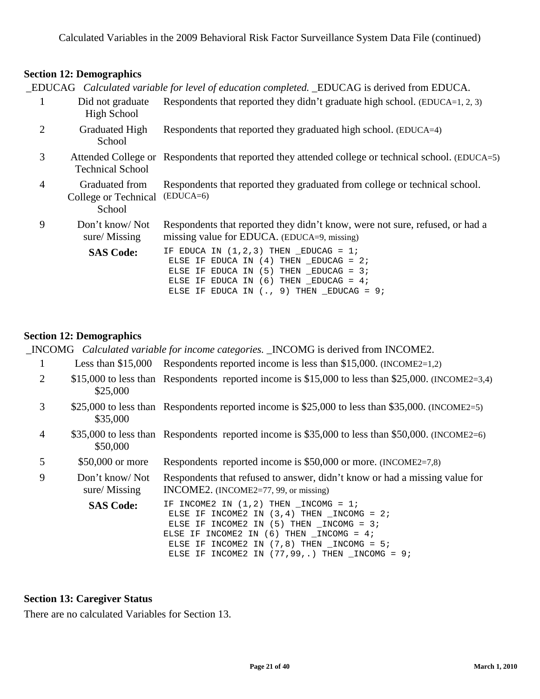\_EDUCAG *Calculated variable for level of education completed.* \_EDUCAG is derived from EDUCA.

|   | Did not graduate<br>High School                  | Respondents that reported they didn't graduate high school. $(EDUCA=1, 2, 3)$                                                                                                                                         |
|---|--------------------------------------------------|-----------------------------------------------------------------------------------------------------------------------------------------------------------------------------------------------------------------------|
| 2 | <b>Graduated High</b><br>School                  | Respondents that reported they graduated high school. (EDUCA=4)                                                                                                                                                       |
| 3 | <b>Technical School</b>                          | Attended College or Respondents that reported they attended college or technical school. (EDUCA=5)                                                                                                                    |
| 4 | Graduated from<br>College or Technical<br>School | Respondents that reported they graduated from college or technical school.<br>$(EDUCA=6)$                                                                                                                             |
| 9 | Don't know/Not<br>sure/Missing                   | Respondents that reported they didn't know, were not sure, refused, or had a<br>missing value for EDUCA. (EDUCA=9, missing)                                                                                           |
|   | <b>SAS Code:</b>                                 | IF EDUCA IN $(1,2,3)$ THEN EDUCAG = 1;<br>ELSE IF EDUCA IN $(4)$ THEN EDUCAG = 2;<br>ELSE IF EDUCA IN $(5)$ THEN EDUCAG = 3;<br>ELSE IF EDUCA IN $(6)$ THEN EDUCAG = 4;<br>ELSE IF EDUCA IN $(., 9)$ THEN EDUCAG = 9; |

#### **Section 12: Demographics**

\_INCOMG *Calculated variable for income categories.* \_INCOMG is derived from INCOME2.

- 1 Less than \$15,000 Respondents reported income is less than \$15,000. (INCOME2=1,2)
- 2 \$15,000 to less than Respondents reported income is \$15,000 to less than \$25,000. (INCOME2=3,4) \$25,000
- 3 \$25,000 to less than Respondents reported income is \$25,000 to less than \$35,000. (INCOME2=5) \$35,000
- 4 \$35,000 to less than Respondents reported income is \$35,000 to less than \$50,000. (INCOME2=6) \$50,000
- 5 \$50,000 or more Respondents reported income is \$50,000 or more. (INCOME2=7,8)

9 Don't know/ Not sure/ Missing Respondents that refused to answer, didn't know or had a missing value for INCOME2. (INCOME2=77, 99, or missing)

SAS Code: IF INCOME2 IN (1,2) THEN \_INCOMG = 1; ELSE IF INCOME2 IN  $(3, 4)$  THEN  $\_INCOMG = 2$ ; ELSE IF INCOME2 IN  $(5)$  THEN  $\_INCOMG = 3$ ; ELSE IF INCOME2 IN  $(6)$  THEN INCOMG = 4; ELSE IF INCOME2 IN  $(7,8)$  THEN  $\_INCOMG = 5$ ; ELSE IF INCOME2 IN  $(77, 99, .)$  THEN  $_$  INCOMG = 9;

#### **Section 13: Caregiver Status**

There are no calculated Variables for Section 13.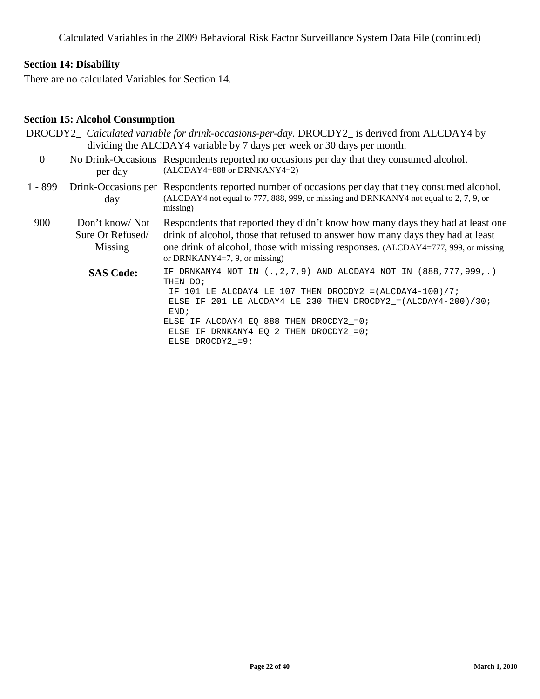## **Section 14: Disability**

There are no calculated Variables for Section 14.

#### **Section 15: Alcohol Consumption**

|                |                                               | DROCDY2_ Calculated variable for drink-occasions-per-day. DROCDY2_ is derived from ALCDAY4 by<br>dividing the ALCDAY4 variable by 7 days per week or 30 days per month.                                                                                                                                                                |
|----------------|-----------------------------------------------|----------------------------------------------------------------------------------------------------------------------------------------------------------------------------------------------------------------------------------------------------------------------------------------------------------------------------------------|
| $\overline{0}$ | per day                                       | No Drink-Occasions Respondents reported no occasions per day that they consumed alcohol.<br>(ALCDAY4=888 or DRNKANY4=2)                                                                                                                                                                                                                |
| $1 - 899$      | day                                           | Drink-Occasions per Respondents reported number of occasions per day that they consumed alcohol.<br>(ALCDAY4 not equal to 777, 888, 999, or missing and DRNKANY4 not equal to 2, 7, 9, or<br>missing)                                                                                                                                  |
| 900            | Don't know/Not<br>Sure Or Refused/<br>Missing | Respondents that reported they didn't know how many days they had at least one<br>drink of alcohol, those that refused to answer how many days they had at least<br>one drink of alcohol, those with missing responses. (ALCDAY4=777, 999, or missing<br>or DRNKANY4=7, 9, or missing)                                                 |
|                | <b>SAS Code:</b>                              | IF DRNKANY4 NOT IN (., 2, 7, 9) AND ALCDAY4 NOT IN (888, 777, 999, .)<br>THEN DO;<br>IF 101 LE ALCDAY4 LE 107 THEN DROCDY2_=(ALCDAY4-100)/7;<br>ELSE IF 201 LE ALCDAY4 LE 230 THEN DROCDY2_=(ALCDAY4-200)/30;<br>END;<br>ELSE IF ALCDAY4 EQ 888 THEN DROCDY2_=0;<br>ELSE IF DRNKANY4 EO 2 THEN DROCDY2 = $0$ ;<br>ELSE DROCDY2 = $9$ ; |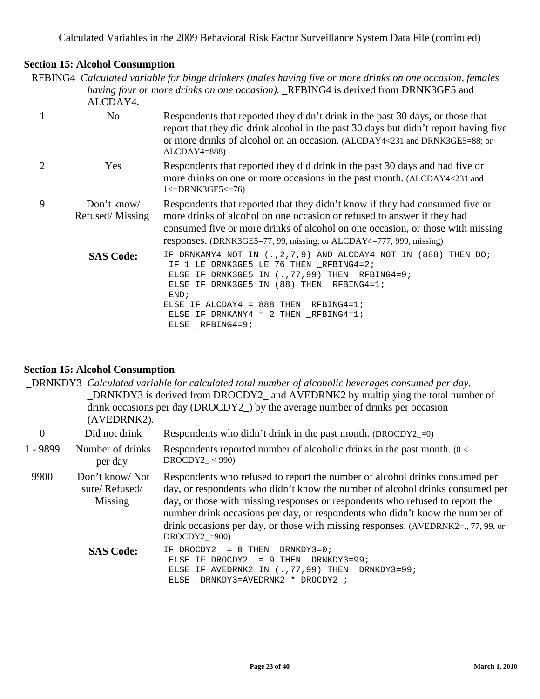# **Section 15: Alcohol Consumption**

\_RFBING4 *Calculated variable for binge drinkers (males having five or more drinks on one occasion, females having four or more drinks on one occasion).* \_RFBING4 is derived from DRNK3GE5 and  $ATCDAYA$ 

|                             | ALUA 14.                       |                                                                                                                                                                                                                                                                                                                                |
|-----------------------------|--------------------------------|--------------------------------------------------------------------------------------------------------------------------------------------------------------------------------------------------------------------------------------------------------------------------------------------------------------------------------|
| 1                           | No                             | Respondents that reported they didn't drink in the past 30 days, or those that<br>report that they did drink alcohol in the past 30 days but didn't report having five<br>or more drinks of alcohol on an occasion. (ALCDAY4<231 and DRNK3GE5=88; or<br>$ALCDAY4=888$                                                          |
| $\mathcal{D}_{\mathcal{L}}$ | <b>Yes</b>                     | Respondents that reported they did drink in the past 30 days and had five or<br>more drinks on one or more occasions in the past month. (ALCDAY4<231 and<br>$1 < $ DRNK3GE5 $<$ = 76)                                                                                                                                          |
| 9                           | Don't know/<br>Refused/Missing | Respondents that reported that they didn't know if they had consumed five or<br>more drinks of alcohol on one occasion or refused to answer if they had<br>consumed five or more drinks of alcohol on one occasion, or those with missing<br>responses. (DRNK3GE5=77, 99, missing; or ALCDAY4=777, 999, missing)               |
|                             | <b>SAS Code:</b>               | IF DRNKANY4 NOT IN $(.,2,7,9)$ AND ALCDAY4 NOT IN $(888)$ THEN DO;<br>IF 1 LE DRNK3GE5 LE 76 THEN _RFBING4=2;<br>ELSE IF DRNK3GE5 IN $(., 77, 99)$ THEN RFBING4=9;<br>ELSE IF DRNK3GE5 IN (88) THEN RFBING4=1;<br>END:<br>ELSE IF ALCDAY4 = $888$ THEN RFBING4=1;<br>ELSE IF DRNKANY4 = $2$ THEN RFBING4=1;<br>ELSE RFBING4=9; |

# **Section 15: Alcohol Consumption**

|            | (AVEDRNK2).                                | DRNKDY3 Calculated variable for calculated total number of alcoholic beverages consumed per day.<br>DRNKDY3 is derived from DROCDY2_ and AVEDRNK2 by multiplying the total number of<br>drink occasions per day (DROCDY2 $_{\perp}$ ) by the average number of drinks per occasion                                                                                                                                                    |
|------------|--------------------------------------------|---------------------------------------------------------------------------------------------------------------------------------------------------------------------------------------------------------------------------------------------------------------------------------------------------------------------------------------------------------------------------------------------------------------------------------------|
| $\theta$   | Did not drink                              | Respondents who didn't drink in the past month. $(DROCDY2_0)$                                                                                                                                                                                                                                                                                                                                                                         |
| $1 - 9899$ | Number of drinks<br>per day                | Respondents reported number of alcoholic drinks in the past month. $(0 <$<br>$DROCDY2_{-} < 990$                                                                                                                                                                                                                                                                                                                                      |
| 9900       | Don't know/Not<br>sure/Refused/<br>Missing | Respondents who refused to report the number of alcohol drinks consumed per<br>day, or respondents who didn't know the number of alcohol drinks consumed per<br>day, or those with missing responses or respondents who refused to report the<br>number drink occasions per day, or respondents who didn't know the number of<br>drink occasions per day, or those with missing responses. (AVEDRNK2=, 77, 99, or<br>$DROCDY2$ _=900) |
|            | <b>SAS Code:</b>                           | IF DROCDY2_ = $0$ THEN _DRNKDY3=0;<br>ELSE IF DROCDY2_ = 9 THEN _DRNKDY3=99;<br>ELSE IF AVEDRNK2 IN $(.,77,99)$ THEN $_DRNKDY3=99$ ;<br>ELSE _DRNKDY3=AVEDRNK2 * DROCDY2_;                                                                                                                                                                                                                                                            |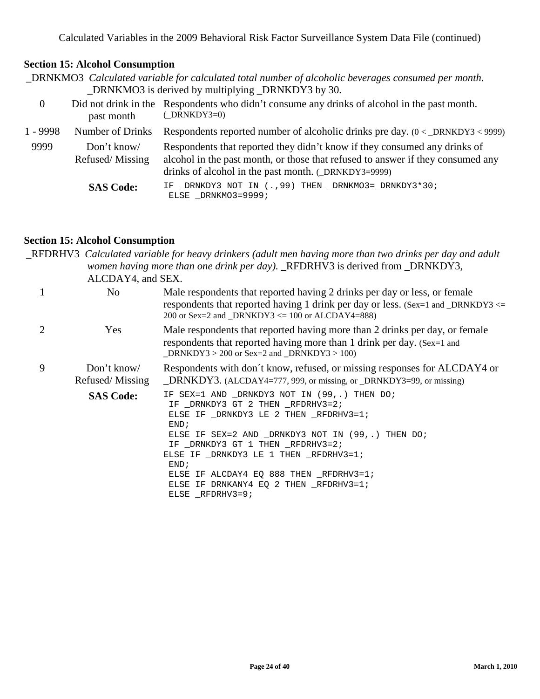# **Section 15: Alcohol Consumption**

|            |                               | DRNKMO3 Calculated variable for calculated total number of alcoholic beverages consumed per month.<br>_DRNKMO3 is derived by multiplying _DRNKDY3 by 30.                                                             |
|------------|-------------------------------|----------------------------------------------------------------------------------------------------------------------------------------------------------------------------------------------------------------------|
| $\theta$   | past month                    | Did not drink in the Respondents who didn't consume any drinks of alcohol in the past month.<br>$(DRNKDY3=0)$                                                                                                        |
| $1 - 9998$ | Number of Drinks              | Respondents reported number of alcoholic drinks pre day. $(0 <$ _DRNKDY3 < 9999)                                                                                                                                     |
| 9999       | Don't know<br>Refused/Missing | Respondents that reported they didn't know if they consumed any drinks of<br>alcohol in the past month, or those that refused to answer if they consumed any<br>drinks of alcohol in the past month. (_DRNKDY3=9999) |
|            | <b>SAS Code:</b>              | IF _DRNKDY3 NOT IN (., 99) THEN _DRNKMO3=_DRNKDY3*30;<br>ELSE _DRNKMO3=9999;                                                                                                                                         |

#### **Section 15: Alcohol Consumption**

\_RFDRHV3 *Calculated variable for heavy drinkers (adult men having more than two drinks per day and adult women having more than one drink per day).* \_RFDRHV3 is derived from \_DRNKDY3, ALCDAY4, and SEX. 1 No Male respondents that reported having 2 drinks per day or less, or female

|   |                                | respondents that reported having 1 drink per day or less. (Sex=1 and _DRNKDY3 $\le$ =<br>200 or Sex=2 and _DRNKDY3 $\leq$ 100 or ALCDAY4=888)                                                                                                                                                                      |
|---|--------------------------------|--------------------------------------------------------------------------------------------------------------------------------------------------------------------------------------------------------------------------------------------------------------------------------------------------------------------|
|   | <b>Yes</b>                     | Male respondents that reported having more than 2 drinks per day, or female<br>respondents that reported having more than 1 drink per day. (Sex=1 and<br>DRNKDY3 > 200 or Sex=2 and DRNKDY3 > 100)                                                                                                                 |
| 9 | Don't know/<br>Refused/Missing | Respondents with don't know, refused, or missing responses for ALCDAY4 or<br>_DRNKDY3. (ALCDAY4=777, 999, or missing, or _DRNKDY3=99, or missing)                                                                                                                                                                  |
|   | <b>SAS Code:</b>               | IF SEX=1 AND DRNKDY3 NOT IN (99,.) THEN DO;<br>IF DRNKDY3 GT 2 THEN RFDRHV3=2;<br>ELSE IF DRNKDY3 LE 2 THEN RFDRHV3=1;<br>END:<br>ELSE IF SEX=2 AND _DRNKDY3 NOT IN (99,.) THEN DO;<br>IF _DRNKDY3 GT 1 THEN _RFDRHV3=2;<br>ELSE IF DRNKDY3 LE 1 THEN RFDRHV3=1;<br>END;<br>ELSE IF ALCDAY4 EQ 888 THEN RFDRHV3=1; |

ELSE IF DRNKANY4 EQ 2 THEN \_RFDRHV3=1;

ELSE \_RFDRHV3=9;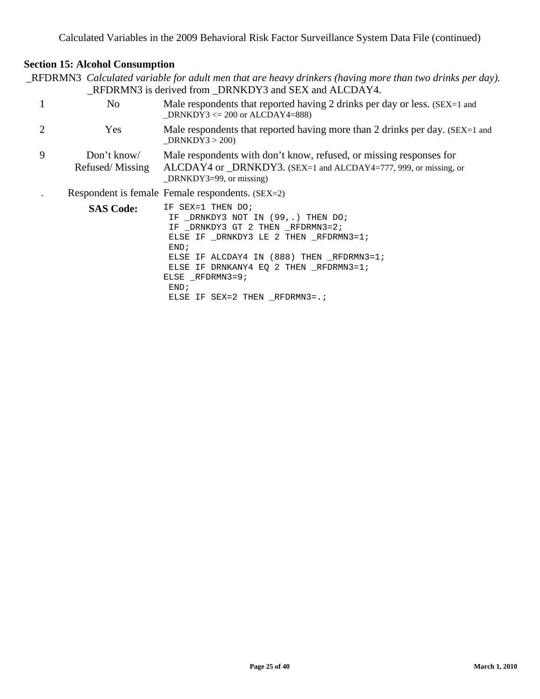# **Section 15: Alcohol Consumption**

\_RFDRMN3 *Calculated variable for adult men that are heavy drinkers (having more than two drinks per day).* \_RFDRMN3 is derived from \_DRNKDY3 and SEX and ALCDAY4.

|   | N <sub>o</sub>                 | Male respondents that reported having 2 drinks per day or less. (SEX=1 and<br>DRNKDY3 $\leq$ 200 or ALCDAY4=888)                                                                                                                                                                                       |
|---|--------------------------------|--------------------------------------------------------------------------------------------------------------------------------------------------------------------------------------------------------------------------------------------------------------------------------------------------------|
|   | Yes                            | Male respondents that reported having more than 2 drinks per day. (SEX=1 and<br>DRNKDY3 > 200                                                                                                                                                                                                          |
| 9 | Don't know/<br>Refused/Missing | Male respondents with don't know, refused, or missing responses for<br>ALCDAY4 or _DRNKDY3. (SEX=1 and ALCDAY4=777, 999, or missing, or<br>$DRNKDY3=99$ , or missing)                                                                                                                                  |
|   |                                | Respondent is female Female respondents. (SEX=2)                                                                                                                                                                                                                                                       |
|   | <b>SAS Code:</b>               | IF SEX=1 THEN DO;<br>IF DRNKDY3 NOT IN (99,.) THEN DO;<br>IF DRNKDY3 GT 2 THEN RFDRMN3=2;<br>ELSE IF DRNKDY3 LE 2 THEN RFDRMN3=1;<br>END;<br>ELSE IF ALCDAY4 IN (888) THEN RFDRMN3=1;<br>ELSE IF DRNKANY4 EQ 2 THEN RFDRMN3=1;<br>ELSE RFDRMN3=9;<br>END <sub>i</sub><br>ELSE IF SEX=2 THEN RFDRMN3=.; |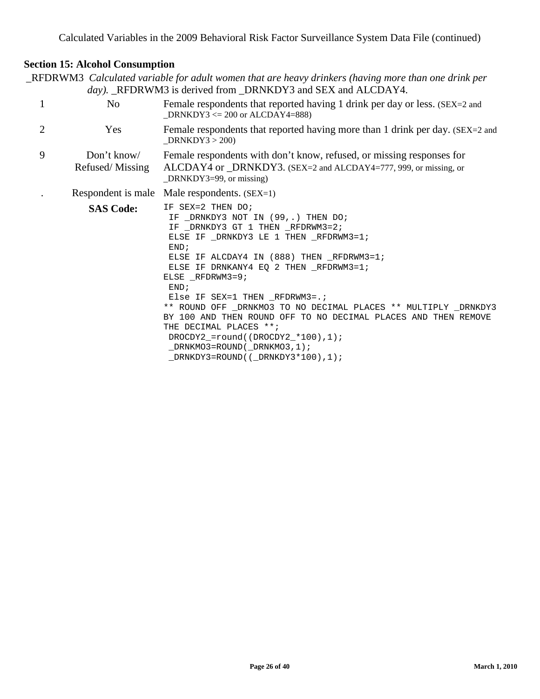# **Section 15: Alcohol Consumption**

\_RFDRWM3 *Calculated variable for adult women that are heavy drinkers (having more than one drink per*  day). \_RFDRWM3 is derived from \_DRNKDY3 and SEX and ALCDAY4.

|                | N <sub>0</sub>                 | Female respondents that reported having 1 drink per day or less. (SEX=2 and<br>$DRNKDY3 \leq 200$ or ALCDAY4=888)                                                                                                                                                                                                                                                                                                                                                                                                                                                                         |  |  |  |
|----------------|--------------------------------|-------------------------------------------------------------------------------------------------------------------------------------------------------------------------------------------------------------------------------------------------------------------------------------------------------------------------------------------------------------------------------------------------------------------------------------------------------------------------------------------------------------------------------------------------------------------------------------------|--|--|--|
| $\overline{2}$ | Yes                            | Female respondents that reported having more than 1 drink per day. (SEX=2 and<br>DRNKDY3 > 200                                                                                                                                                                                                                                                                                                                                                                                                                                                                                            |  |  |  |
| 9              | Don't know/<br>Refused/Missing | Female respondents with don't know, refused, or missing responses for<br>ALCDAY4 or _DRNKDY3. (SEX=2 and ALCDAY4=777, 999, or missing, or<br>$DRNKDY3=99$ , or missing)                                                                                                                                                                                                                                                                                                                                                                                                                   |  |  |  |
|                |                                | Respondent is male Male respondents. $(SEX=1)$                                                                                                                                                                                                                                                                                                                                                                                                                                                                                                                                            |  |  |  |
|                | <b>SAS Code:</b>               | IF SEX=2 THEN DO;<br>IF _DRNKDY3 NOT IN (99,.) THEN DO;<br>IF _DRNKDY3 GT 1 THEN _RFDRWM3=2;<br>ELSE IF DRNKDY3 LE 1 THEN RFDRWM3=1;<br>END:<br>ELSE IF ALCDAY4 IN (888) THEN RFDRWM3=1;<br>ELSE IF DRNKANY4 EQ 2 THEN RFDRWM3=1;<br>ELSE RFDRWM3=9;<br>END;<br>Else IF SEX=1 THEN RFDRWM3=. $\dot{i}$<br>** ROUND OFF _DRNKMO3 TO NO DECIMAL PLACES ** MULTIPLY _DRNKDY3<br>BY 100 AND THEN ROUND OFF TO NO DECIMAL PLACES AND THEN REMOVE<br>THE DECIMAL PLACES **;<br>DROCDY2 = $round((DROCDY2 * 100), 1);$<br>DRNKMO3=ROUND(DRNKMO3,1);<br>$_DRNKDY3 = ROUND( (_DRNKDY3 * 100), 1);$ |  |  |  |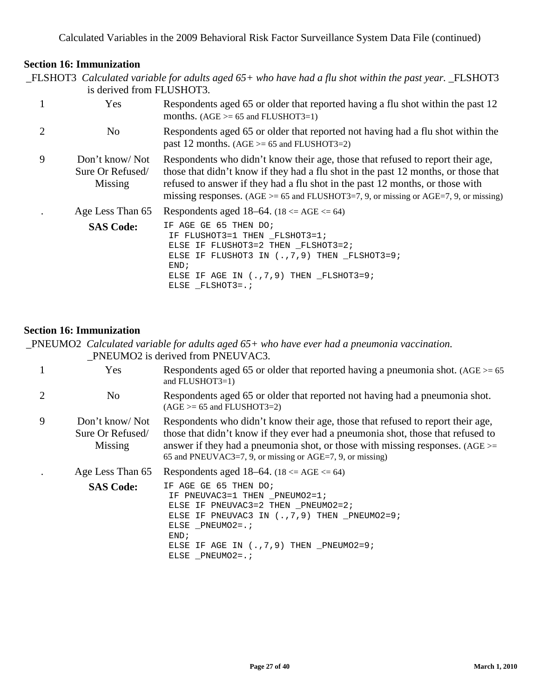# **Section 16: Immunization**

|              | is derived from FLUSHOT3.                     | $\_$ FLSHOT3 Calculated variable for adults aged 65+ who have had a flu shot within the past year. $\_$ FLSHOT3                                                                                                                                                                                                                                      |
|--------------|-----------------------------------------------|------------------------------------------------------------------------------------------------------------------------------------------------------------------------------------------------------------------------------------------------------------------------------------------------------------------------------------------------------|
| $\mathbf{1}$ | Yes                                           | Respondents aged 65 or older that reported having a flu shot within the past 12<br>months. $(AGE >= 65$ and FLUSHOT3=1)                                                                                                                                                                                                                              |
| 2            | No                                            | Respondents aged 65 or older that reported not having had a flu shot within the<br>past 12 months. $(AGE >= 65$ and FLUSHOT3=2)                                                                                                                                                                                                                      |
| 9            | Don't know/Not<br>Sure Or Refused/<br>Missing | Respondents who didn't know their age, those that refused to report their age,<br>those that didn't know if they had a flu shot in the past 12 months, or those that<br>refused to answer if they had a flu shot in the past 12 months, or those with<br>missing responses. ( $AGE \ge 65$ and FLUSHOT3=7, 9, or missing or $AGE=7$ , 9, or missing) |
|              | Age Less Than 65                              | Respondents aged 18–64. $(18 \le AGE \le 64)$                                                                                                                                                                                                                                                                                                        |
|              | <b>SAS Code:</b>                              | IF AGE GE 65 THEN DO;<br>IF FLUSHOT3=1 THEN FLSHOT3=1;<br>ELSE IF FLUSHOT3=2 THEN FLSHOT3=2;<br>ELSE IF FLUSHOT3 IN $(., 7, 9)$ THEN $_F$ LSHOT3=9;<br>END;<br>ELSE IF AGE IN $(., 7, 9)$ THEN FLSHOT3=9;<br>ELSE FLSHOT3=.;                                                                                                                         |

#### **Section 16: Immunization**

\_PNEUMO2 *Calculated variable for adults aged 65+ who have ever had a pneumonia vaccination.* \_PNEUMO2 is derived from PNEUVAC3.

|   | Yes                                           | Respondents aged 65 or older that reported having a pneumonia shot. $(AGE) = 65$<br>and FLUSHOT3=1)                                                                                                                                                                                                               |  |  |  |
|---|-----------------------------------------------|-------------------------------------------------------------------------------------------------------------------------------------------------------------------------------------------------------------------------------------------------------------------------------------------------------------------|--|--|--|
|   | N <sub>o</sub>                                | Respondents aged 65 or older that reported not having had a pneumonia shot.<br>$(AGE >= 65 and FLUSHOT3=2)$                                                                                                                                                                                                       |  |  |  |
| 9 | Don't know/Not<br>Sure Or Refused/<br>Missing | Respondents who didn't know their age, those that refused to report their age,<br>those that didn't know if they ever had a pneumonia shot, those that refused to<br>answer if they had a pneumonia shot, or those with missing responses. (AGE $>=$<br>65 and PNEUVAC3=7, 9, or missing or AGE=7, 9, or missing) |  |  |  |
|   | Age Less Than 65                              | Respondents aged 18–64. $(18 \le AGE \le 64)$                                                                                                                                                                                                                                                                     |  |  |  |
|   | <b>SAS Code:</b>                              | IF AGE GE 65 THEN DO;<br>IF PNEUVAC3=1 THEN PNEUMO2=1;<br>ELSE IF PNEUVAC3=2 THEN PNEUMO2=2;<br>ELSE IF PNEUVAC3 IN $(., 7, 9)$ THEN PNEUMO2=9;<br>ELSE PNEUMO2=.;<br>END;<br>ELSE IF AGE IN $(., 7, 9)$ THEN PNEUMO2=9;<br>ELSE PNEUMO2=.;                                                                       |  |  |  |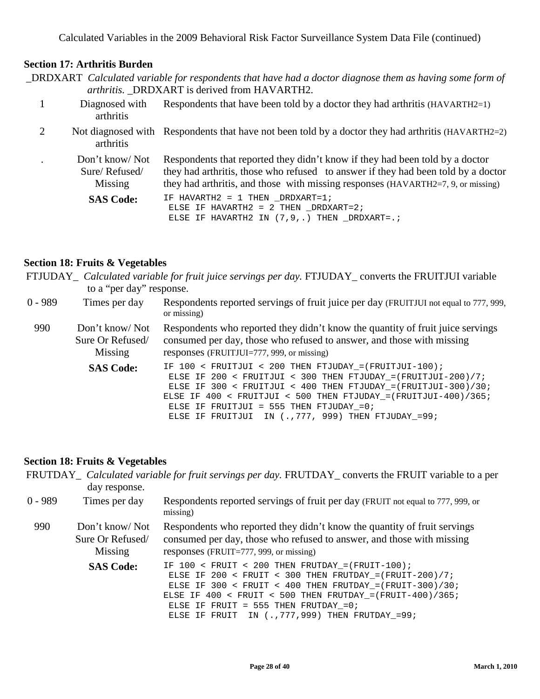#### **Section 17: Arthritis Burden**

|  | _DRDXART Calculated variable for respondents that have had a doctor diagnose them as having some form of |  |  |  |  |  |
|--|----------------------------------------------------------------------------------------------------------|--|--|--|--|--|
|  | <i>arthritis.</i> DRDXART is derived from HAVARTH2.                                                      |  |  |  |  |  |

- 1 Diagnosed with arthritis Respondents that have been told by a doctor they had arthritis (HAVARTH2=1)
- 2 Not diagnosed with Respondents that have not been told by a doctor they had arthritis (HAVARTH2=2) arthritis

. Don't know/ Not Sure/ Refused/ Missing Respondents that reported they didn't know if they had been told by a doctor they had arthritis, those who refused to answer if they had been told by a doctor they had arthritis, and those with missing responses (HAVARTH2=7, 9, or missing)

SAS Code: IF HAVARTH2 = 1 THEN \_DRDXART=1; ELSE IF HAVARTH $2 = 2$  THEN DRDXART= $2$ ; ELSE IF HAVARTH2 IN (7,9,.) THEN \_DRDXART=.;

#### **Section 18: Fruits & Vegetables**

FTJUDAY\_ *Calculated variable for fruit juice servings per day.* FTJUDAY\_ converts the FRUITJUI variable to a "per day" response.

| $0 - 989$ | Times per day                                 | Respondents reported servings of fruit juice per day (FRUITJUI not equal to 777, 999,<br>or missing)                                                                                                                                                                                                                                                                               |
|-----------|-----------------------------------------------|------------------------------------------------------------------------------------------------------------------------------------------------------------------------------------------------------------------------------------------------------------------------------------------------------------------------------------------------------------------------------------|
| 990       | Don't know/Not<br>Sure Or Refused/<br>Missing | Respondents who reported they didn't know the quantity of fruit juice servings<br>consumed per day, those who refused to answer, and those with missing<br>responses (FRUITJUI=777, 999, or missing)                                                                                                                                                                               |
|           | <b>SAS Code:</b>                              | IF $100 <$ FRUITJUI < 200 THEN FTJUDAY = (FRUITJUI-100);<br>ELSE IF 200 < FRUITJUI < 300 THEN FTJUDAY = $(FRUITJUI - 200)/7$ ;<br>ELSE IF 300 < FRUITJUI < 400 THEN FTJUDAY = $(FRUITJUI-300)/30$ ;<br>ELSE IF $400 \lt$ FRUITJUI $\lt$ 500 THEN FTJUDAY = (FRUITJUI-400)/365;<br>ELSE IF FRUITJUI = 555 THEN FTJUDAY_=0;<br>ELSE IF FRUITJUI IN $(., 777, 999)$ THEN FTJUDAY_=99; |

#### **Section 18: Fruits & Vegetables**

|           | day response.                                 | FRUTDAY_ Calculated variable for fruit servings per day. FRUTDAY_converts the FRUIT variable to a per                                                                                                                                                                                                                                            |  |  |  |
|-----------|-----------------------------------------------|--------------------------------------------------------------------------------------------------------------------------------------------------------------------------------------------------------------------------------------------------------------------------------------------------------------------------------------------------|--|--|--|
| $0 - 989$ | Times per day                                 | Respondents reported servings of fruit per day (FRUIT not equal to 777, 999, or<br>missing)                                                                                                                                                                                                                                                      |  |  |  |
| 990       | Don't know/Not<br>Sure Or Refused/<br>Missing | Respondents who reported they didn't know the quantity of fruit servings<br>consumed per day, those who refused to answer, and those with missing<br>responses (FRUIT=777, 999, or missing)                                                                                                                                                      |  |  |  |
|           | <b>SAS Code:</b>                              | IF $100 <$ FRUIT < 200 THEN FRUTDAY = (FRUIT-100);<br>ELSE IF 200 < FRUIT < 300 THEN FRUTDAY = $(FRUIT-200)/7$ ;<br>ELSE IF 300 < FRUIT < 400 THEN FRUTDAY = $(FRUIT-300)/30$ ;<br>ELSE IF 400 < FRUIT < 500 THEN FRUTDAY = $(FRUIT-400)/365$ ;<br>ELSE IF FRUIT = $555$ THEN FRUTDAY = 0;<br>ELSE IF FRUIT IN $(., 777, 999)$ THEN FRUTDAY =99; |  |  |  |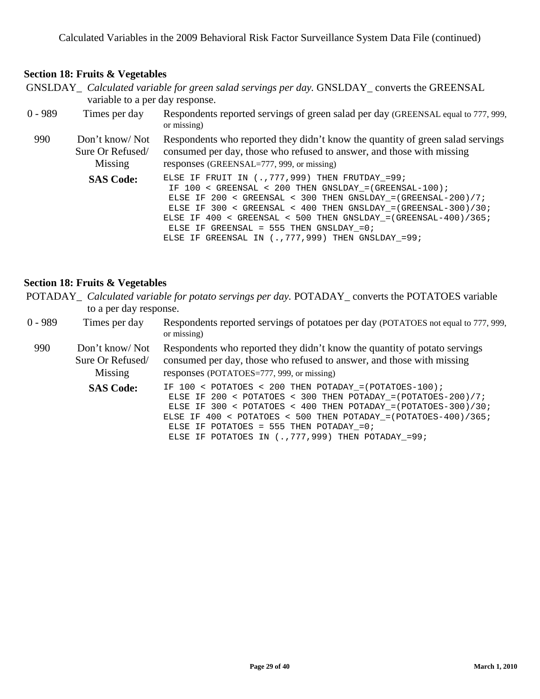#### **Section 18: Fruits & Vegetables**

GNSLDAY\_ *Calculated variable for green salad servings per day.* GNSLDAY\_ converts the GREENSAL variable to a per day response.

| $0 - 989$ | Times per day                                 | Respondents reported servings of green salad per day (GREENSAL equal to 777, 999,<br>or missing)                                                                                                                                                                                                                                                                                                                                    |
|-----------|-----------------------------------------------|-------------------------------------------------------------------------------------------------------------------------------------------------------------------------------------------------------------------------------------------------------------------------------------------------------------------------------------------------------------------------------------------------------------------------------------|
| 990       | Don't know/Not<br>Sure Or Refused/<br>Missing | Respondents who reported they didn't know the quantity of green salad servings<br>consumed per day, those who refused to answer, and those with missing<br>responses (GREENSAL=777, 999, or missing)                                                                                                                                                                                                                                |
|           | <b>SAS Code:</b>                              | ELSE IF FRUIT IN $(., 777, 999)$ THEN FRUTDAY =99;<br>IF $100 <$ GREENSAL < 200 THEN GNSLDAY = (GREENSAL-100);<br>ELSE IF 200 < GREENSAL < 300 THEN GNSLDAY = $(GREENSAL - 200)/7$ ;<br>ELSE IF 300 < GREENSAL < 400 THEN GNSLDAY = $(GREENSAL-300)/30$ ;<br>ELSE IF $400 <$ GREENSAL < 500 THEN GNSLDAY = (GREENSAL-400)/365;<br>ELSE IF GREENSAL = $555$ THEN GNSLDAY = 0;<br>ELSE IF GREENSAL IN (., 777, 999) THEN GNSLDAY_=99; |

#### **Section 18: Fruits & Vegetables**

|                        |  | POTADAY_ Calculated variable for potato servings per day. POTADAY_converts the POTATOES variable |  |
|------------------------|--|--------------------------------------------------------------------------------------------------|--|
| to a per day response. |  |                                                                                                  |  |

0 - 989 Times per day Respondents reported servings of potatoes per day (POTATOES not equal to 777, 999, or missing)

990 Don't know/ Not Sure Or Refused/ Missing Respondents who reported they didn't know the quantity of potato servings consumed per day, those who refused to answer, and those with missing responses (POTATOES=777, 999, or missing)

> SAS Code: IF 100 < POTATOES < 200 THEN POTADAY\_=(POTATOES-100); ELSE IF 200 < POTATOES < 300 THEN POTADAY\_=(POTATOES-200)/7; ELSE IF 300 < POTATOES < 400 THEN POTADAY\_=(POTATOES-300)/30; ELSE IF  $400 <$  POTATOES < 500 THEN POTADAY = (POTATOES-400)/365; ELSE IF POTATOES = 555 THEN POTADAY =  $0$ ; ELSE IF POTATOES IN (., 777, 999) THEN POTADAY\_=99;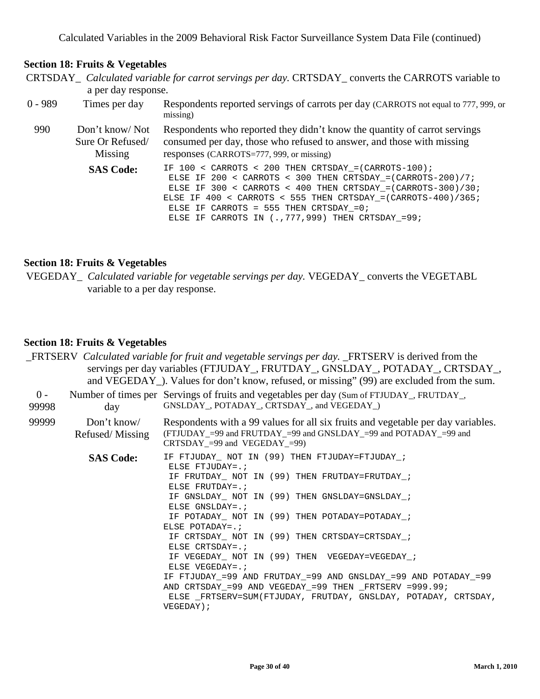#### **Section 18: Fruits & Vegetables**

- CRTSDAY\_ *Calculated variable for carrot servings per day.* CRTSDAY\_ converts the CARROTS variable to a per day response.
- 0 989 Times per day Respondents reported servings of carrots per day (CARROTS not equal to 777, 999, or missing)

990 Don't know/ Not Sure Or Refused/ Missing Respondents who reported they didn't know the quantity of carrot servings consumed per day, those who refused to answer, and those with missing responses (CARROTS=777, 999, or missing)

SAS Code: IF 100 < CARROTS < 200 THEN CRTSDAY\_=(CARROTS-100); ELSE IF 200 < CARROTS < 300 THEN CRTSDAY\_=(CARROTS-200)/7; ELSE IF 300 < CARROTS < 400 THEN CRTSDAY\_=(CARROTS-300)/30; ELSE IF  $400 < \text{CARROTS} < 555$  THEN CRTSDAY =  $(\text{CARROTS}-400)/365$ ; ELSE IF CARROTS = 555 THEN  $CRTSDAY = 0;$ ELSE IF CARROTS IN (.,777,999) THEN CRTSDAY\_=99;

#### **Section 18: Fruits & Vegetables**

VEGEDAY\_ *Calculated variable for vegetable servings per day.* VEGEDAY\_ converts the VEGETABL variable to a per day response.

#### **Section 18: Fruits & Vegetables**

|                |                                | <b>FRTSERV</b> Calculated variable for fruit and vegetable servings per day. FRTSERV is derived from the                                                                                                                                                                                                                                                                                                                                                                                                                                                                                                                                                                |  |  |  |
|----------------|--------------------------------|-------------------------------------------------------------------------------------------------------------------------------------------------------------------------------------------------------------------------------------------------------------------------------------------------------------------------------------------------------------------------------------------------------------------------------------------------------------------------------------------------------------------------------------------------------------------------------------------------------------------------------------------------------------------------|--|--|--|
|                |                                | servings per day variables (FTJUDAY_, FRUTDAY_, GNSLDAY_, POTADAY_, CRTSDAY_,<br>and VEGEDAY ). Values for don't know, refused, or missing" (99) are excluded from the sum.                                                                                                                                                                                                                                                                                                                                                                                                                                                                                             |  |  |  |
| $0 -$<br>99998 | day                            | Number of times per Servings of fruits and vegetables per day (Sum of FTJUDAY_, FRUTDAY_,<br>GNSLDAY, POTADAY, CRTSDAY, and VEGEDAY)                                                                                                                                                                                                                                                                                                                                                                                                                                                                                                                                    |  |  |  |
| 99999          | Don't know/<br>Refused/Missing | Respondents with a 99 values for all six fruits and vegetable per day variables.<br>(FTJUDAY_=99 and FRUTDAY_=99 and GNSLDAY_=99 and POTADAY_=99 and<br>$CRTSDAY = 99$ and $VEGEDAY = 99$                                                                                                                                                                                                                                                                                                                                                                                                                                                                               |  |  |  |
|                | <b>SAS Code:</b>               | IF FTJUDAY NOT IN (99) THEN FTJUDAY=FTJUDAY ;<br>ELSE FTJUDAY=. $\mathbf{i}$<br>IF FRUTDAY NOT IN (99) THEN FRUTDAY=FRUTDAY ;<br>ELSE FRUTDAY= $:$<br>IF GNSLDAY_ NOT IN (99) THEN GNSLDAY=GNSLDAY_;<br>ELSE GNSLDAY= $:$<br>IF POTADAY NOT IN (99) THEN POTADAY=POTADAY ;<br>ELSE POTADAY= $:$<br>IF CRTSDAY NOT IN (99) THEN CRTSDAY=CRTSDAY ;<br>ELSE CRTSDAY=.;<br>IF VEGEDAY NOT IN (99) THEN VEGEDAY=VEGEDAY ;<br>ELSE VEGEDAY=. $\mathbf{i}$<br>IF FTJUDAY_=99 AND FRUTDAY_=99 AND GNSLDAY_=99 AND POTADAY_=99<br>AND CRTSDAY $=99$ AND VEGEDAY $=99$ THEN $_F$ RTSERV $=999.99$ ;<br>ELSE FRTSERV=SUM(FTJUDAY, FRUTDAY, GNSLDAY, POTADAY, CRTSDAY,<br>VEGEDAY); |  |  |  |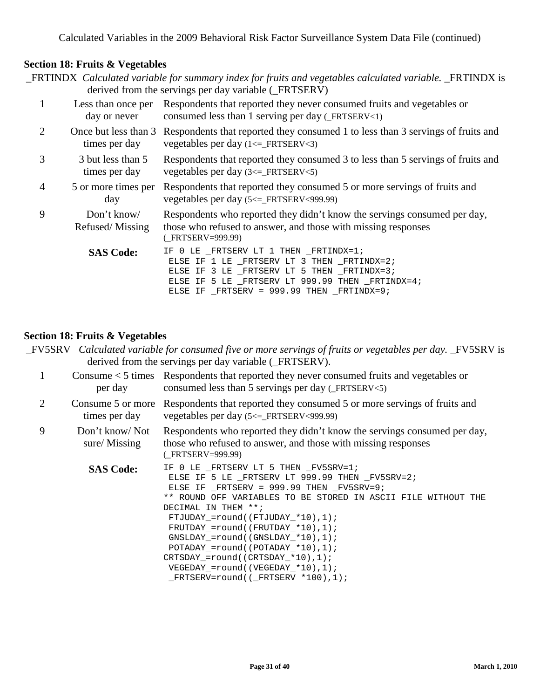# **Section 18: Fruits & Vegetables**

| <b>FRTINDX</b> Calculated variable for summary index for fruits and vegetables calculated variable. <b>FRTINDX</b> is<br>derived from the servings per day variable (_FRTSERV) |                                    |                                                                                                                                                               |  |  |
|--------------------------------------------------------------------------------------------------------------------------------------------------------------------------------|------------------------------------|---------------------------------------------------------------------------------------------------------------------------------------------------------------|--|--|
|                                                                                                                                                                                | Less than once per<br>day or never | Respondents that reported they never consumed fruits and vegetables or<br>consumed less than 1 serving per day $(FRTSERV<1)$                                  |  |  |
| 2                                                                                                                                                                              | times per day                      | Once but less than 3 Respondents that reported they consumed 1 to less than 3 servings of fruits and<br>vegetables per day $(1 \leq$ _FRTSERV<3)              |  |  |
| 3                                                                                                                                                                              | 3 but less than 5<br>times per day | Respondents that reported they consumed 3 to less than 5 servings of fruits and<br>vegetables per day $(3 \leq$ _FRTSERV $\leq$ 5)                            |  |  |
| $\overline{4}$                                                                                                                                                                 | 5 or more times per<br>day         | Respondents that reported they consumed 5 or more servings of fruits and<br>vegetables per day $(5 \leq$ FRTSERV<999.99)                                      |  |  |
| 9                                                                                                                                                                              | Don't know/<br>Refused/Missing     | Respondents who reported they didn't know the servings consumed per day,<br>those who refused to answer, and those with missing responses<br>(FRTSERV=999.99) |  |  |
|                                                                                                                                                                                | <b>SAS Code:</b>                   | 0 LE FRTSERV LT 1 THEN FRTINDX=1;<br>IF.<br>ELSE IF 1 LE _FRTSERV LT 3 THEN _FRTINDX=2;                                                                       |  |  |

#### **Section 18: Fruits & Vegetables**

| _FV5SRV Calculated variable for consumed five or more servings of fruits or vegetables per day. _FV5SRV is |  |
|------------------------------------------------------------------------------------------------------------|--|
| derived from the servings per day variable (_FRTSERV).                                                     |  |

ELSE IF 3 LE \_FRTSERV LT 5 THEN \_FRTINDX=3; ELSE IF 5 LE \_FRTSERV LT 999.99 THEN \_FRTINDX=4;

ELSE IF \_FRTSERV = 999.99 THEN \_FRTINDX=9;

|                             | per day                            | Consume $\lt$ 5 times Respondents that reported they never consumed fruits and vegetables or<br>consumed less than 5 servings per day $(FRTSERV<5)$                                                                                                                                                                                                                                                                               |
|-----------------------------|------------------------------------|-----------------------------------------------------------------------------------------------------------------------------------------------------------------------------------------------------------------------------------------------------------------------------------------------------------------------------------------------------------------------------------------------------------------------------------|
| $\mathcal{D}_{\mathcal{L}}$ | Consume 5 or more<br>times per day | Respondents that reported they consumed 5 or more servings of fruits and<br>vegetables per day $(5 \leq$ FRTSERV<999.99)                                                                                                                                                                                                                                                                                                          |
| 9                           | Don't know/Not<br>sure/Missing     | Respondents who reported they didn't know the servings consumed per day,<br>those who refused to answer, and those with missing responses<br>(FRTSERV=999.99)                                                                                                                                                                                                                                                                     |
|                             | <b>SAS Code:</b>                   | IF 0 LE FRTSERV LT 5 THEN FV5SRV=1;<br>ELSE IF 5 LE FRTSERV LT 999.99 THEN FV5SRV=2;<br>ELSE IF FRTSERV = $999.99$ THEN FV5SRV=9;<br>** ROUND OFF VARIABLES TO BE STORED IN ASCII FILE WITHOUT THE<br>DECIMAL IN THEM **;<br>$FTJUDAY = round((FTJUDAY * 10), 1);$<br>$FRUTDAY = round((FRUTDAY * 10), 1);$<br>$GNSLDAY = round((GNSLDAY * 10), 1);$<br>POTADAY = $round((POTADAY * 10), 1);$<br>CRTSDAY_=round((CRTSDAY_*10),1); |

VEGEDAY\_=round((VEGEDAY\_\*10),1); \_FRTSERV=round((\_FRTSERV \*100),1);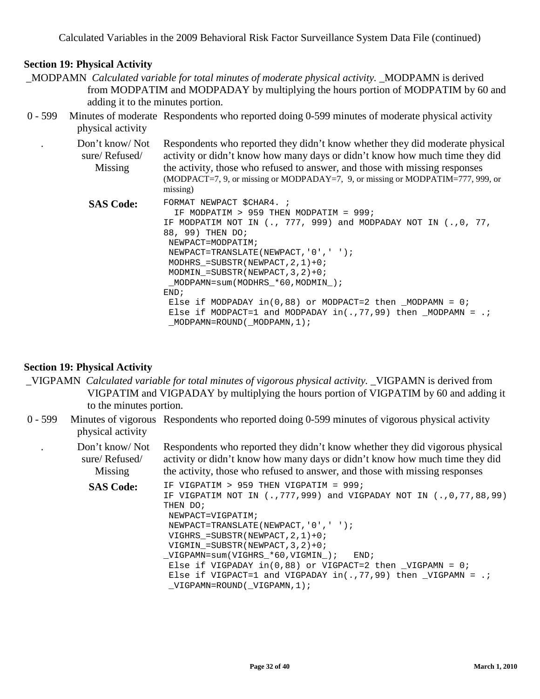- \_MODPAMN *Calculated variable for total minutes of moderate physical activity.* \_MODPAMN is derived from MODPATIM and MODPADAY by multiplying the hours portion of MODPATIM by 60 and adding it to the minutes portion.
- 0 599 Minutes of moderate Respondents who reported doing 0-599 minutes of moderate physical activity physical activity

| Don't know/Not<br>sure/Refused/<br>Missing | Respondents who reported they didn't know whether they did moderate physical<br>activity or didn't know how many days or didn't know how much time they did<br>the activity, those who refused to answer, and those with missing responses<br>(MODPACT=7, 9, or missing or MODPADAY=7, 9, or missing or MODPATIM=777, 999, or<br>missing)                                                                                                                                                                                                     |
|--------------------------------------------|-----------------------------------------------------------------------------------------------------------------------------------------------------------------------------------------------------------------------------------------------------------------------------------------------------------------------------------------------------------------------------------------------------------------------------------------------------------------------------------------------------------------------------------------------|
| <b>SAS Code:</b>                           | FORMAT NEWPACT \$CHAR4. ;<br>IF MODPATIM > 959 THEN MODPATIM = $999$ ;<br>IF MODPATIM NOT IN $(., 777, 999)$ and MODPADAY NOT IN $(., 0, 77, )$<br>88, 99) THEN DO;<br>NEWPACT=MODPATIM;<br>NEWPACT=TRANSLATE(NEWPACT, '0', '');<br>MODHRS = SUBSTR (NEWPACT, $2$ , $1$ ) + 0;<br>MODMIN = SUBSTR (NEWPACT, $3, 2$ ) + 0;<br>$MODPAMN = sum(MODHRS * 60, MODMIN)$ ;<br>END:<br>Else if MODPADAY $in(0,88)$ or MODPACT=2 then MODPAMN = 0;<br>Else if MODPACT=1 and MODPADAY in(.,77,99) then MODPAMN = .;<br>$_MODPAMN = ROUND( MODPAMN, 1);$ |

#### **Section 19: Physical Activity**

- \_VIGPAMN *Calculated variable for total minutes of vigorous physical activity.* \_VIGPAMN is derived from VIGPATIM and VIGPADAY by multiplying the hours portion of VIGPATIM by 60 and adding it to the minutes portion.
- 0 599 Minutes of vigorous Respondents who reported doing 0-599 minutes of vigorous physical activity physical activity
	- . Don't know/ Not sure/ Refused/ Missing Respondents who reported they didn't know whether they did vigorous physical activity or didn't know how many days or didn't know how much time they did the activity, those who refused to answer, and those with missing responses

**SAS Code:** IF VIGPATIM > 959 THEN VIGPATIM = 999; IF VIGPATIM NOT IN (.,777,999) and VIGPADAY NOT IN (.,0,77,88,99) THEN DO; NEWPACT=VIGPATIM; NEWPACT=TRANSLATE(NEWPACT,'0',' '); VIGHRS  $=$  SUBSTR(NEWPACT, 2, 1) + 0; VIGMIN = SUBSTR(NEWPACT,  $3, 2$ ) + 0; \_VIGPAMN=sum(VIGHRS\_\*60,VIGMIN\_); END; Else if VIGPADAY  $in(0,88)$  or VIGPACT=2 then \_VIGPAMN = 0; Else if VIGPACT=1 and VIGPADAY  $in(.77,99)$  then \_VIGPAMN = .; \_VIGPAMN=ROUND(\_VIGPAMN,1);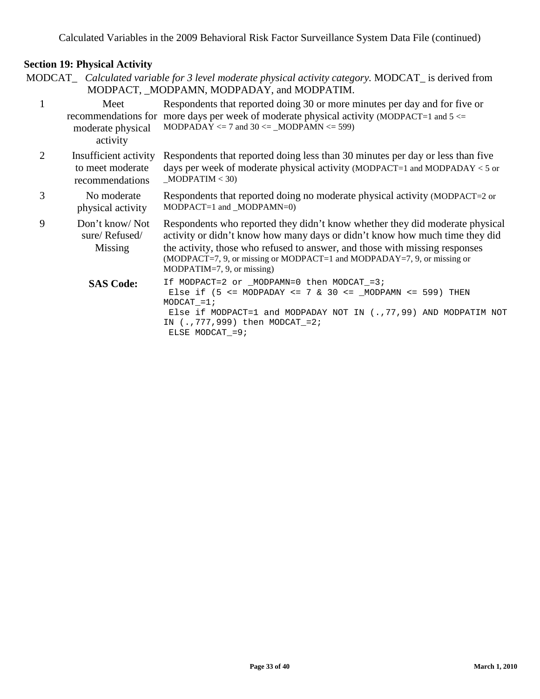MODCAT\_ *Calculated variable for 3 level moderate physical activity category.* MODCAT\_ is derived from MODPACT, \_MODPAMN, MODPADAY, and MODPATIM.

| $\mathbf{1}$ | Meet<br>moderate physical<br>activity                        | Respondents that reported doing 30 or more minutes per day and for five or<br>recommendations for more days per week of moderate physical activity (MODPACT=1 and $5 \le$<br>MODPADAY $\le$ 7 and 30 $\le$ _MODPAMN $\le$ 599)                                                                                                                         |
|--------------|--------------------------------------------------------------|--------------------------------------------------------------------------------------------------------------------------------------------------------------------------------------------------------------------------------------------------------------------------------------------------------------------------------------------------------|
| 2            | Insufficient activity<br>to meet moderate<br>recommendations | Respondents that reported doing less than 30 minutes per day or less than five<br>days per week of moderate physical activity (MODPACT=1 and MODPADAY $\lt$ 5 or<br>MODPATH < 30                                                                                                                                                                       |
| 3            | No moderate<br>physical activity                             | Respondents that reported doing no moderate physical activity (MODPACT=2 or<br>$MODPACT=1$ and $_MODPAMN=0$ )                                                                                                                                                                                                                                          |
| 9            | Don't know/Not<br>sure/Refused/<br>Missing                   | Respondents who reported they didn't know whether they did moderate physical<br>activity or didn't know how many days or didn't know how much time they did<br>the activity, those who refused to answer, and those with missing responses<br>$(MODPACT=7, 9, or missing or MODPACT=1 and MODPADAY=7, 9, or missing or$<br>$MODPATH=7, 9, or missing)$ |
|              | <b>SAS Code:</b>                                             | If MODPACT=2 or $_MODPAMN=0$ then MODCAT = 3;<br>Else if $(5 \leq MODPADAY \leq 7 \& 30 \leq MODPAMN \leq 599)$ THEN<br>$MODCAT = 1;$<br>Else if MODPACT=1 and MODPADAY NOT IN (., 77, 99) AND MODPATIM NOT<br>IN (., 777, 999) then MODCAT_=2;<br>ELSE MODCAT $=9;$                                                                                   |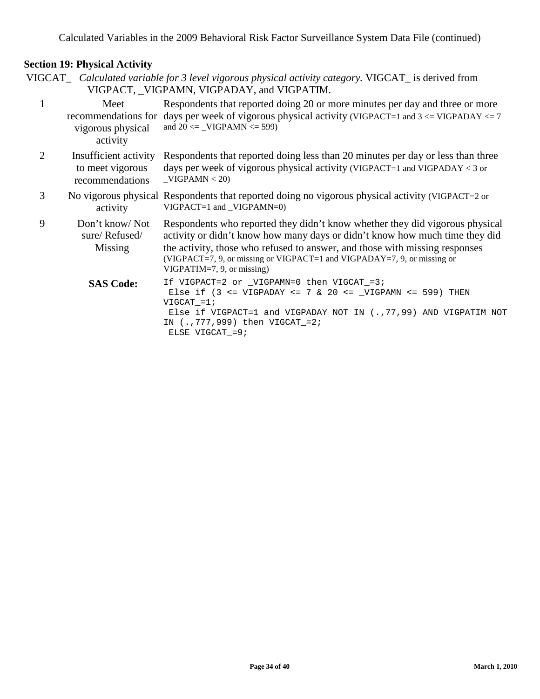VIGCAT\_ *Calculated variable for 3 level vigorous physical activity category.* VIGCAT\_ is derived from VIGPACT, \_VIGPAMN, VIGPADAY, and VIGPATIM.

| 1 | Meet<br>vigorous physical<br>activity                        | Respondents that reported doing 20 or more minutes per day and three or more<br>recommendations for days per week of vigorous physical activity (VIGPACT=1 and $3 \leq$ VIGPADAY $\leq$ 7<br>and $20 \le$ _VIGPAMN $\le$ 599)                                                                                                                        |
|---|--------------------------------------------------------------|------------------------------------------------------------------------------------------------------------------------------------------------------------------------------------------------------------------------------------------------------------------------------------------------------------------------------------------------------|
| 2 | Insufficient activity<br>to meet vigorous<br>recommendations | Respondents that reported doing less than 20 minutes per day or less than three<br>days per week of vigorous physical activity (VIGPACT=1 and VIGPADAY < 3 or<br>$-VIGPAMN < 20$                                                                                                                                                                     |
| 3 | activity                                                     | No vigorous physical Respondents that reported doing no vigorous physical activity (VIGPACT=2 or<br>$VIGPACT=1$ and $VIGPAMN=0$ )                                                                                                                                                                                                                    |
| 9 | Don't know/Not<br>sure/Refused/<br>Missing                   | Respondents who reported they didn't know whether they did vigorous physical<br>activity or didn't know how many days or didn't know how much time they did<br>the activity, those who refused to answer, and those with missing responses<br>(VIGPACT=7, 9, or missing or VIGPACT=1 and VIGPADAY=7, 9, or missing or<br>$VIGPATH=7, 9, or missing)$ |
|   | <b>SAS Code:</b>                                             | If VIGPACT=2 or _VIGPAMN=0 then VIGCAT_=3;<br>Else if $(3 \le YIGPADAY \le 7 \& 20 \le YIGPAMN \le 599)$ THEN<br>$VIGCAT = 1;$<br>Else if VIGPACT=1 and VIGPADAY NOT IN $(., 77, 99)$ AND VIGPATIM NOT<br>IN $(., 777, 999)$ then VIGCAT_=2;<br>ELSE VIGCAT = 9;                                                                                     |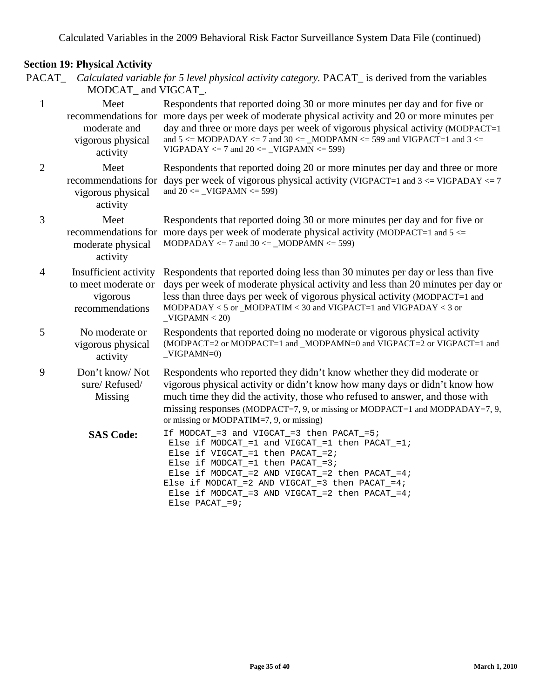|                | MODCAT_and VIGCAT_.                                                         | PACAT_ Calculated variable for 5 level physical activity category. PACAT_ is derived from the variables                                                                                                                                                                                                                                                                                                        |
|----------------|-----------------------------------------------------------------------------|----------------------------------------------------------------------------------------------------------------------------------------------------------------------------------------------------------------------------------------------------------------------------------------------------------------------------------------------------------------------------------------------------------------|
| $\mathbf{1}$   | Meet<br>moderate and<br>vigorous physical<br>activity                       | Respondents that reported doing 30 or more minutes per day and for five or<br>recommendations for more days per week of moderate physical activity and 20 or more minutes per<br>day and three or more days per week of vigorous physical activity (MODPACT=1)<br>and $5 \leq MODPADAY \leq 7$ and $30 \leq MODPAMN \leq 599$ and VIGPACT=1 and $3 \leq$<br>$VIGPADAY \le 7$ and $20 \le$ _VIGPAMN $\le 599$ ) |
| $\sqrt{2}$     | Meet<br>vigorous physical<br>activity                                       | Respondents that reported doing 20 or more minutes per day and three or more<br>recommendations for days per week of vigorous physical activity (VIGPACT=1 and $3 \leq$ VIGPADAY $\leq$ 7<br>and $20 \le$ _VIGPAMN $\le$ 599)                                                                                                                                                                                  |
| 3              | Meet<br>moderate physical<br>activity                                       | Respondents that reported doing 30 or more minutes per day and for five or<br>recommendations for more days per week of moderate physical activity (MODPACT=1 and $5 \le$<br>MODPADAY $\le$ 7 and 30 $\le$ _MODPAMN $\le$ 599)                                                                                                                                                                                 |
| $\overline{4}$ | Insufficient activity<br>to meet moderate or<br>vigorous<br>recommendations | Respondents that reported doing less than 30 minutes per day or less than five<br>days per week of moderate physical activity and less than 20 minutes per day or<br>less than three days per week of vigorous physical activity (MODPACT=1 and<br>MODPADAY < 5 or _MODPATIM < 30 and VIGPACT=1 and VIGPADAY < 3 or<br>$-VIGPAMN < 20$                                                                         |
| 5              | No moderate or<br>vigorous physical<br>activity                             | Respondents that reported doing no moderate or vigorous physical activity<br>(MODPACT=2 or MODPACT=1 and _MODPAMN=0 and VIGPACT=2 or VIGPACT=1 and<br>$-VIGPAMN=0$                                                                                                                                                                                                                                             |
| 9              | Don't know/Not<br>sure/Refused/<br>Missing                                  | Respondents who reported they didn't know whether they did moderate or<br>vigorous physical activity or didn't know how many days or didn't know how<br>much time they did the activity, those who refused to answer, and those with<br>missing responses (MODPACT=7, 9, or missing or MODPACT=1 and MODPADAY=7, 9,<br>or missing or MODPATIM=7, 9, or missing)                                                |
|                | <b>SAS Code:</b>                                                            | If MODCAT_=3 and VIGCAT_=3 then PACAT_=5;<br>Else if MODCAT_=1 and VIGCAT_=1 then PACAT_=1;<br>Else if $VIGCAT_ = 1$ then $PACAT_ = 2$ ;<br>Else if $MODCAT_ = 1$ then $PACAT_ = 3$ ;<br>Else if $MODCAT_$ = 2 AND VIGCAT_ = 2 then $PACAT_$ = 4;<br>Else if $MODCAT_ = 2$ AND VIGCAT_=3 then $PACAT_ = 4$ ;<br>Else if $MODCAT_$ = 3 AND VIGCAT_ = 2 then $PACAT_$ = 4;<br>Else PACAT_= $9$ ;                 |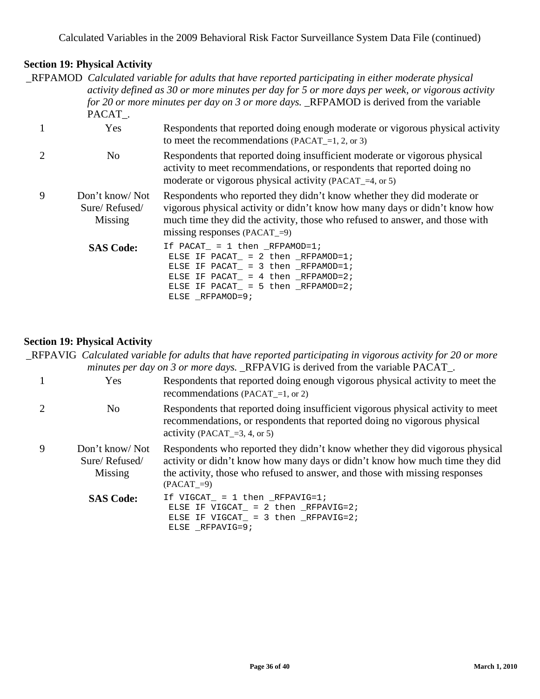\_RFPAMOD *Calculated variable for adults that have reported participating in either moderate physical activity defined as 30 or more minutes per day for 5 or more days per week, or vigorous activity for 20 or more minutes per day on 3 or more days.* \_RFPAMOD is derived from the variable PACAT\_.

1 Yes Respondents that reported doing enough moderate or vigorous physical activity to meet the recommendations (PACAT\_=1, 2, or 3) 2 No Respondents that reported doing insufficient moderate or vigorous physical activity to meet recommendations, or respondents that reported doing no moderate or vigorous physical activity (PACAT  $=4$ , or 5) 9 Don't know/ Not Sure/ Refused/ Missing Respondents who reported they didn't know whether they did moderate or vigorous physical activity or didn't know how many days or didn't know how much time they did the activity, those who refused to answer, and those with missing responses (PACAT  $=9$ ) SAS Code: If PACAT\_ = 1 then \_RFPAMOD=1; ELSE IF PACAT\_ = 2 then \_RFPAMOD=1; ELSE IF PACAT\_ =  $3$  then \_RFPAMOD=1; ELSE IF PACAT\_ = 4 then \_RFPAMOD=2;

#### **Section 19: Physical Activity**

\_RFPAVIG *Calculated variable for adults that have reported participating in vigorous activity for 20 or more minutes per day on 3 or more days.* RFPAVIG is derived from the variable PACAT.

ELSE IF PACAT = 5 then  $RFPAMOD=2;$ 

ELSE \_RFPAMOD=9;

|   | Yes                                        | Respondents that reported doing enough vigorous physical activity to meet the<br>recommendations (PACAT = 1, or 2)                                                                                                                                          |
|---|--------------------------------------------|-------------------------------------------------------------------------------------------------------------------------------------------------------------------------------------------------------------------------------------------------------------|
|   | N <sub>0</sub>                             | Respondents that reported doing insufficient vigorous physical activity to meet<br>recommendations, or respondents that reported doing no vigorous physical<br>activity (PACAT $=$ 3, 4, or 5)                                                              |
| 9 | Don't know/Not<br>Sure/Refused/<br>Missing | Respondents who reported they didn't know whether they did vigorous physical<br>activity or didn't know how many days or didn't know how much time they did<br>the activity, those who refused to answer, and those with missing responses<br>$(PACAT = 9)$ |
|   | <b>SAS Code:</b>                           | If VIGCAT = $1$ then RFPAVIG=1;<br>ELSE IF VIGCAT = $2$ then RFPAVIG=2;<br>ELSE IF VIGCAT = $3$ then RFPAVIG=2;<br>ELSE RFPAVIG=9;                                                                                                                          |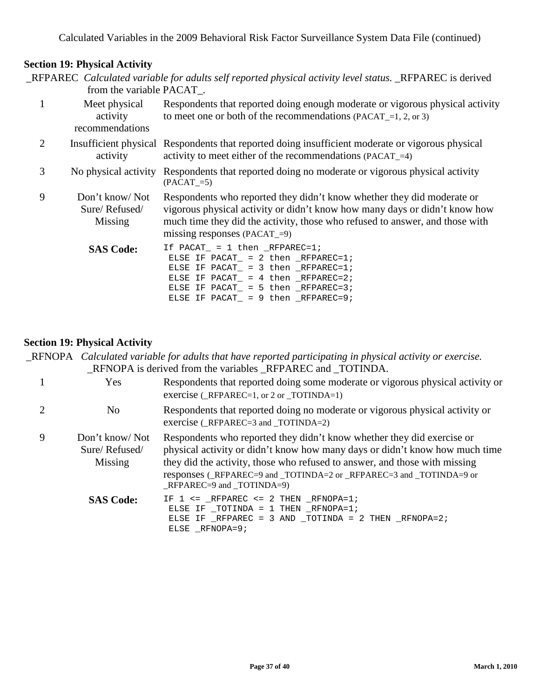|                | from the variable PACAT_.                    | _RFPAREC Calculated variable for adults self reported physical activity level status. _RFPAREC is derived                                                                                                                                                            |
|----------------|----------------------------------------------|----------------------------------------------------------------------------------------------------------------------------------------------------------------------------------------------------------------------------------------------------------------------|
| 1              | Meet physical<br>activity<br>recommendations | Respondents that reported doing enough moderate or vigorous physical activity<br>to meet one or both of the recommendations (PACAT $=$ 1, 2, or 3)                                                                                                                   |
| $\overline{2}$ | activity                                     | Insufficient physical Respondents that reported doing insufficient moderate or vigorous physical<br>activity to meet either of the recommendations (PACAT_=4)                                                                                                        |
| 3              | No physical activity                         | Respondents that reported doing no moderate or vigorous physical activity<br>$(PACAT_=5)$                                                                                                                                                                            |
| 9              | Don't know/Not<br>Sure/Refused/<br>Missing   | Respondents who reported they didn't know whether they did moderate or<br>vigorous physical activity or didn't know how many days or didn't know how<br>much time they did the activity, those who refused to answer, and those with<br>missing responses (PACAT_=9) |
|                | <b>SAS Code:</b>                             | If $PACAT = 1$ then $RFPAREC=1$ ;<br>ELSE IF PACAT = 2 then $_RFPAREC=1$ ;<br>ELSE IF PACAT = $3$ then _RFPAREC=1;<br>ELSE IF PACAT_ = $4$ then _RFPAREC=2;<br>ELSE IF PACAT = $5$ then _RFPAREC=3;                                                                  |

# **Section 19: Physical Activity**

| _RFNOPA Calculated variable for adults that have reported participating in physical activity or exercise. |
|-----------------------------------------------------------------------------------------------------------|
| RENOPA is derived from the variables REPAREC and TOTINDA.                                                 |

ELSE IF PACAT\_ = 9 then \_RFPAREC=9;

|   | Yes                                        | Respondents that reported doing some moderate or vigorous physical activity or<br>exercise ( $RFPAREC=1$ , or 2 or $TOTINDA=1$ )                                                                                                                                                                                                           |
|---|--------------------------------------------|--------------------------------------------------------------------------------------------------------------------------------------------------------------------------------------------------------------------------------------------------------------------------------------------------------------------------------------------|
| 2 | No.                                        | Respondents that reported doing no moderate or vigorous physical activity or<br>exercise $(RFPAREC=3$ and TOTINDA=2)                                                                                                                                                                                                                       |
| 9 | Don't know/Not<br>Sure/Refused/<br>Missing | Respondents who reported they didn't know whether they did exercise or<br>physical activity or didn't know how many days or didn't know how much time<br>they did the activity, those who refused to answer, and those with missing<br>responses (_RFPAREC=9 and _TOTINDA=2 or _RFPAREC=3 and _TOTINDA=9 or<br>$RFPAREC=9$ and $TOTINDA=9$ |
|   | <b>SAS Code:</b>                           | IF $1 \le$ = _RFPAREC <= 2 THEN _RFNOPA=1;<br>ELSE IF $_T$ OTINDA = 1 THEN $_R$ FNOPA=1;<br>ELSE IF $_R$ FPAREC = 3 AND $_T$ OTINDA = 2 THEN $_R$ FNOPA=2;<br>ELSE RFNOPA=9;                                                                                                                                                               |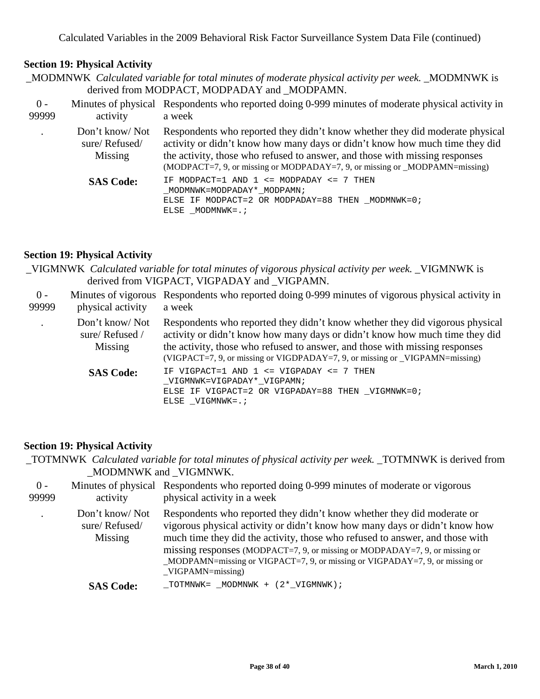# **Section 19: Physical Activity**

|  | MODMNWK Calculated variable for total minutes of moderate physical activity per week. MODMNWK is  |  |
|--|---------------------------------------------------------------------------------------------------|--|
|  | derived from MODPACT, MODPADAY and MODPAMN.                                                       |  |
|  | Minutes of physical Respondents who reported doing 0-999 minutes of moderate physical activity in |  |

| $0 -$<br>99999 | activity                                   | Minutes of physical Respondents who reported doing 0-999 minutes of moderate physical activity in<br>a week                                                                                                                                                                                                               |
|----------------|--------------------------------------------|---------------------------------------------------------------------------------------------------------------------------------------------------------------------------------------------------------------------------------------------------------------------------------------------------------------------------|
|                | Don't know/Not<br>sure/Refused/<br>Missing | Respondents who reported they didn't know whether they did moderate physical<br>activity or didn't know how many days or didn't know how much time they did<br>the activity, those who refused to answer, and those with missing responses<br>(MODPACT=7, 9, or missing or MODPADAY=7, 9, or missing or _MODPAMN=missing) |
|                | <b>SAS Code:</b>                           | IF MODPACT=1 AND $1 \le$ MODPADAY $\le$ 7 THEN<br>MODMNWK=MODPADAY* MODPAMN;<br>ELSE IF MODPACT=2 OR MODPADAY=88 THEN MODMNWK=0;<br>ELSE MODMNWK=.;                                                                                                                                                                       |

#### **Section 19: Physical Activity**

\_VIGMNWK *Calculated variable for total minutes of vigorous physical activity per week.* \_VIGMNWK is derived from VIGPACT, VIGPADAY and \_VIGPAMN.

| $0 -$<br>99999 | physical activity                          | Minutes of vigorous Respondents who reported doing 0-999 minutes of vigorous physical activity in<br>a week                                                                                                                                                                                                                |
|----------------|--------------------------------------------|----------------------------------------------------------------------------------------------------------------------------------------------------------------------------------------------------------------------------------------------------------------------------------------------------------------------------|
|                | Don't know/Not<br>sure/Refused/<br>Missing | Respondents who reported they didn't know whether they did vigorous physical<br>activity or didn't know how many days or didn't know how much time they did<br>the activity, those who refused to answer, and those with missing responses<br>(VIGPACT=7, 9, or missing or VIGDPADAY=7, 9, or missing or _VIGPAMN=missing) |
|                | <b>SAS Code:</b>                           | IF VIGPACT=1 AND $1 \le$ VIGPADAY $\le$ 7 THEN<br>VIGMNWK=VIGPADAY* VIGPAMN;<br>ELSE IF VIGPACT=2 OR VIGPADAY=88 THEN VIGMNWK=0;<br>ELSE VIGMNWK=.;                                                                                                                                                                        |

#### **Section 19: Physical Activity**

\_TOTMNWK *Calculated variable for total minutes of physical activity per week.* \_TOTMNWK is derived from \_MODMNWK and \_VIGMNWK.

| $0 -$<br>99999 | activity                                   | Minutes of physical Respondents who reported doing 0-999 minutes of moderate or vigorous<br>physical activity in a week                                                                                                                                                                                                                                                                                                       |
|----------------|--------------------------------------------|-------------------------------------------------------------------------------------------------------------------------------------------------------------------------------------------------------------------------------------------------------------------------------------------------------------------------------------------------------------------------------------------------------------------------------|
|                | Don't know/Not<br>sure/Refused/<br>Missing | Respondents who reported they didn't know whether they did moderate or<br>vigorous physical activity or didn't know how many days or didn't know how<br>much time they did the activity, those who refused to answer, and those with<br>missing responses (MODPACT=7, 9, or missing or MODPADAY=7, 9, or missing or<br>$MODPAMN = missing$ or VIGPACT=7, 9, or missing or VIGPADAY=7, 9, or missing or<br>$VIGPAMN = missing$ |
|                | <b>SAS Code:</b>                           | TOTMNWK= MODMNWK + (2* VIGMNWK);                                                                                                                                                                                                                                                                                                                                                                                              |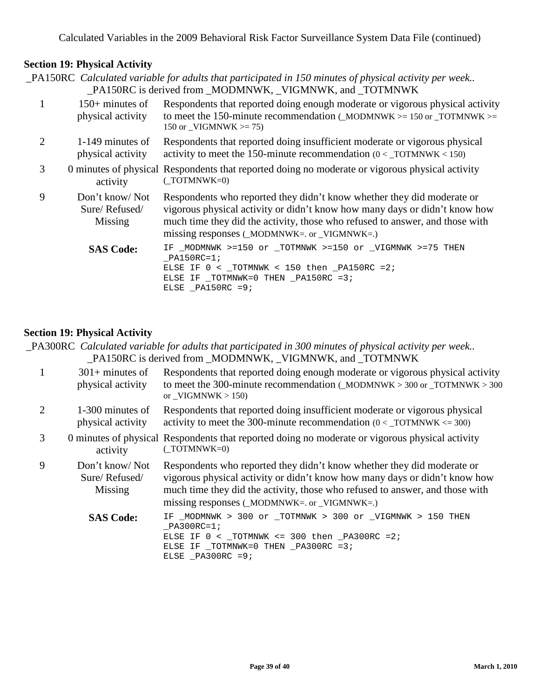#### **Section 19: Physical Activity**

\_PA150RC *Calculated variable for adults that participated in 150 minutes of physical activity per week..* PA150RC is derived from MODMNWK, VIGMNWK, and TOTMNWK

|                | $150+$ minutes of<br>physical activity     | Respondents that reported doing enough moderate or vigorous physical activity<br>to meet the 150-minute recommendation (MODMNWK $> = 150$ or TOTMNWK $> =$<br>150 or VIGMNWK $\geq$ 75)                                                                                             |
|----------------|--------------------------------------------|-------------------------------------------------------------------------------------------------------------------------------------------------------------------------------------------------------------------------------------------------------------------------------------|
| $\overline{2}$ | 1-149 minutes of<br>physical activity      | Respondents that reported doing insufficient moderate or vigorous physical<br>activity to meet the 150-minute recommendation $(0 <$ TOTMNWK < 150)                                                                                                                                  |
| 3              | activity                                   | 0 minutes of physical Respondents that reported doing no moderate or vigorous physical activity<br>$(TOTMNWK=0)$                                                                                                                                                                    |
| 9              | Don't know/Not<br>Sure/Refused/<br>Missing | Respondents who reported they didn't know whether they did moderate or<br>vigorous physical activity or didn't know how many days or didn't know how<br>much time they did the activity, those who refused to answer, and those with<br>missing responses $(MODMNWK= or_VIGMNWK=.)$ |
|                | <b>SAS Code:</b>                           | IF _MODMNWK >=150 or _TOTMNWK >=150 or _VIGMNWK >=75 THEN<br>PA150RC=1;<br>ELSE IF $0 <$ TOTMNWK < 150 then PA150RC = 2;<br>ELSE IF $_T$ OTMNWK=0 THEN $_P$ A150RC =3;<br>ELSE PA150RC = $9$ ;                                                                                      |

#### **Section 19: Physical Activity**

\_PA300RC *Calculated variable for adults that participated in 300 minutes of physical activity per week..* PA150RC is derived from MODMNWK, VIGMNWK, and TOTMNWK  $1 \qquad 301 + \text{minutes of}$ physical activity Respondents that reported doing enough moderate or vigorous physical activity to meet the 300-minute recommendation ( $MODMNWK > 300$  or  $TOTMNWK > 300$ or  $VIGMNWK > 150$ 2 1-300 minutes of physical activity Respondents that reported doing insufficient moderate or vigorous physical activity to meet the 300-minute recommendation  $(0 <$  TOTMNWK  $\leq$  300) 3 0 minutes of physical Respondents that reported doing no moderate or vigorous physical activity activity (\_TOTMNWK=0) 9 Don't know/ Not Sure/ Refused/ Missing Respondents who reported they didn't know whether they did moderate or vigorous physical activity or didn't know how many days or didn't know how much time they did the activity, those who refused to answer, and those with missing responses ( $MODMNWK=$ . or  $VIGMNWK=$ .) SAS Code: IF \_MODMNWK > 300 or \_TOTMNWK > 300 or \_VIGMNWK > 150 THEN  $PA300RC=1;$ ELSE IF  $0 <$  \_TOTMNWK <= 300 then \_PA300RC = 2; ELSE IF \_TOTMNWK=0 THEN \_PA300RC =3; ELSE  $_PA300RC =9;$